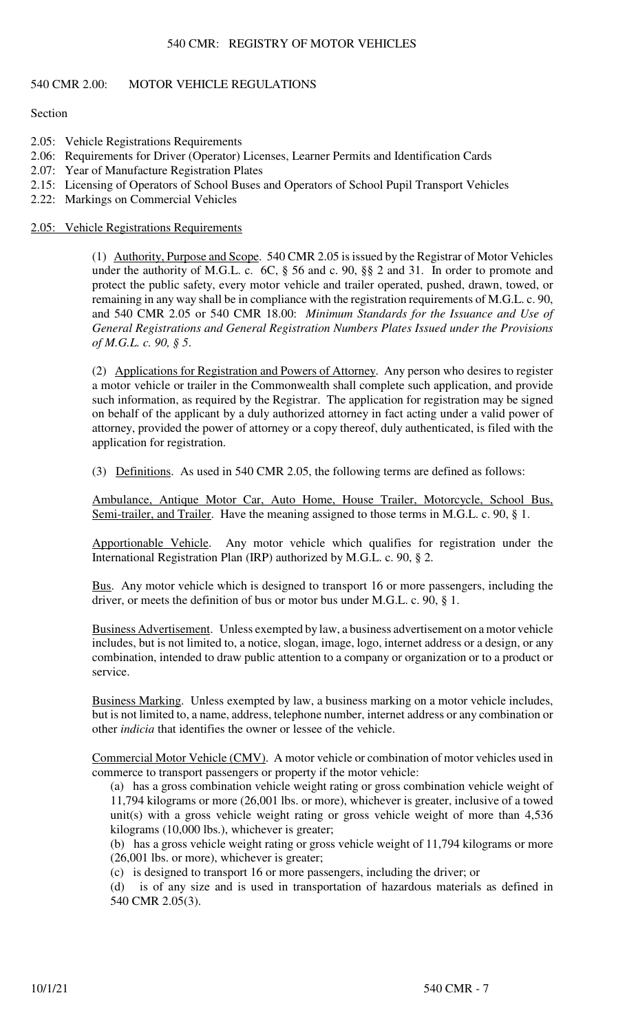# 540 CMR: REGISTRY OF MOTOR VEHICLES

# 540 CMR 2.00: MOTOR VEHICLE REGULATIONS

# **Section**

- 2.05: Vehicle Registrations Requirements
- 2.06: Requirements for Driver (Operator) Licenses, Learner Permits and Identification Cards
- 2.07: Year of Manufacture Registration Plates
- 2.15: Licensing of Operators of School Buses and Operators of School Pupil Transport Vehicles
- 2.22: Markings on Commercial Vehicles

# 2.05: Vehicle Registrations Requirements

(1) Authority, Purpose and Scope. 540 CMR 2.05 is issued by the Registrar of Motor Vehicles under the authority of M.G.L. c. 6C, § 56 and c. 90, §§ 2 and 31. In order to promote and protect the public safety, every motor vehicle and trailer operated, pushed, drawn, towed, or remaining in any way shall be in compliance with the registration requirements of M.G.L. c. 90, and 540 CMR 2.05 or 540 CMR 18.00: *Minimum Standards for the Issuance and Use of General Registrations and General Registration Numbers Plates Issued under the Provisions of M.G.L. c. 90, § 5*.

(2) Applications for Registration and Powers of Attorney. Any person who desires to register a motor vehicle or trailer in the Commonwealth shall complete such application, and provide such information, as required by the Registrar. The application for registration may be signed on behalf of the applicant by a duly authorized attorney in fact acting under a valid power of attorney, provided the power of attorney or a copy thereof, duly authenticated, is filed with the application for registration.

(3) Definitions. As used in 540 CMR 2.05, the following terms are defined as follows:

Ambulance, Antique Motor Car, Auto Home, House Trailer, Motorcycle, School Bus, Semi-trailer, and Trailer. Have the meaning assigned to those terms in M.G.L. c. 90, § 1.

Apportionable Vehicle. Any motor vehicle which qualifies for registration under the International Registration Plan (IRP) authorized by M.G.L. c. 90, § 2.

Bus. Any motor vehicle which is designed to transport 16 or more passengers, including the driver, or meets the definition of bus or motor bus under M.G.L. c. 90, § 1.

Business Advertisement. Unless exempted by law, a business advertisement on a motor vehicle includes, but is not limited to, a notice, slogan, image, logo, internet address or a design, or any combination, intended to draw public attention to a company or organization or to a product or service.

Business Marking. Unless exempted by law, a business marking on a motor vehicle includes, but is not limited to, a name, address, telephone number, internet address or any combination or other *indicia* that identifies the owner or lessee of the vehicle.

Commercial Motor Vehicle (CMV). A motor vehicle or combination of motor vehicles used in commerce to transport passengers or property if the motor vehicle:

(a) has a gross combination vehicle weight rating or gross combination vehicle weight of 11,794 kilograms or more (26,001 lbs. or more), whichever is greater, inclusive of a towed unit(s) with a gross vehicle weight rating or gross vehicle weight of more than 4,536 kilograms (10,000 lbs.), whichever is greater;

(b) has a gross vehicle weight rating or gross vehicle weight of 11,794 kilograms or more (26,001 lbs. or more), whichever is greater;

(c) is designed to transport 16 or more passengers, including the driver; or

(d) is of any size and is used in transportation of hazardous materials as defined in 540 CMR 2.05(3).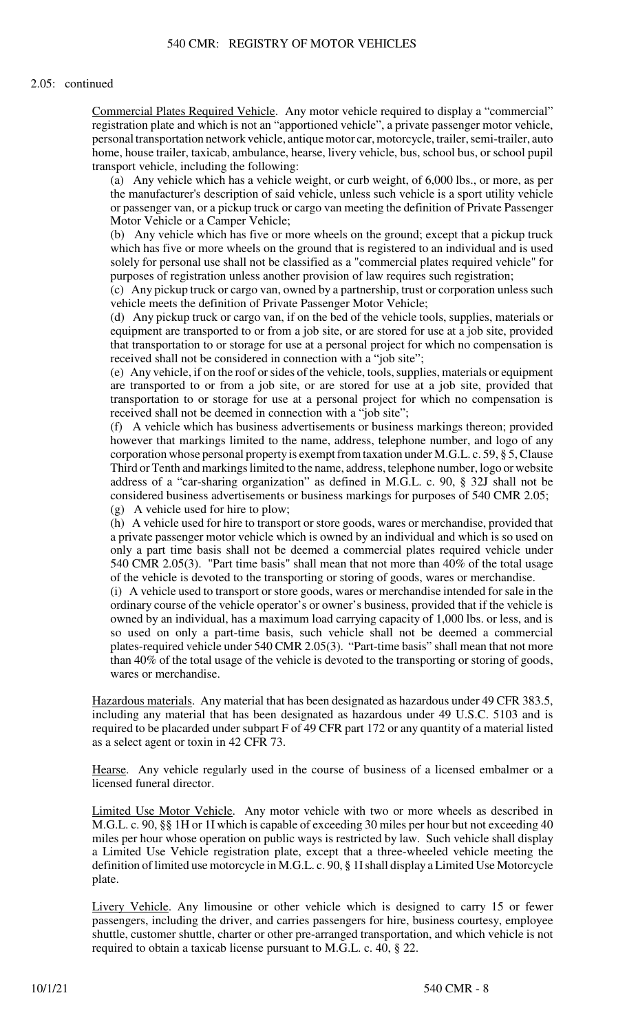## 2.05: continued

Commercial Plates Required Vehicle. Any motor vehicle required to display a "commercial" registration plate and which is not an "apportioned vehicle", a private passenger motor vehicle, personal transportation network vehicle, antique motor car, motorcycle, trailer, semi-trailer, auto home, house trailer, taxicab, ambulance, hearse, livery vehicle, bus, school bus, or school pupil transport vehicle, including the following:

(a) Any vehicle which has a vehicle weight, or curb weight, of 6,000 lbs., or more, as per the manufacturer's description of said vehicle, unless such vehicle is a sport utility vehicle or passenger van, or a pickup truck or cargo van meeting the definition of Private Passenger Motor Vehicle or a Camper Vehicle;

(b) Any vehicle which has five or more wheels on the ground; except that a pickup truck which has five or more wheels on the ground that is registered to an individual and is used solely for personal use shall not be classified as a "commercial plates required vehicle" for purposes of registration unless another provision of law requires such registration;

(c) Any pickup truck or cargo van, owned by a partnership, trust or corporation unless such vehicle meets the definition of Private Passenger Motor Vehicle;

(d) Any pickup truck or cargo van, if on the bed of the vehicle tools, supplies, materials or equipment are transported to or from a job site, or are stored for use at a job site, provided that transportation to or storage for use at a personal project for which no compensation is received shall not be considered in connection with a "job site";

(e) Any vehicle, if on the roof or sides of the vehicle, tools, supplies, materials or equipment are transported to or from a job site, or are stored for use at a job site, provided that transportation to or storage for use at a personal project for which no compensation is received shall not be deemed in connection with a "job site";

(f) A vehicle which has business advertisements or business markings thereon; provided however that markings limited to the name, address, telephone number, and logo of any corporation whose personal property is exempt from taxation under M.G.L. c. 59, § 5, Clause Third or Tenth and markings limited to the name, address, telephone number, logo or website address of a "car-sharing organization" as defined in M.G.L. c. 90, § 32J shall not be considered business advertisements or business markings for purposes of 540 CMR 2.05; (g) A vehicle used for hire to plow;

(h) A vehicle used for hire to transport or store goods, wares or merchandise, provided that a private passenger motor vehicle which is owned by an individual and which is so used on only a part time basis shall not be deemed a commercial plates required vehicle under 540 CMR 2.05(3). "Part time basis" shall mean that not more than 40% of the total usage of the vehicle is devoted to the transporting or storing of goods, wares or merchandise.

(i) A vehicle used to transport or store goods, wares or merchandise intended for sale in the ordinary course of the vehicle operator's or owner's business, provided that if the vehicle is owned by an individual, has a maximum load carrying capacity of 1,000 lbs. or less, and is so used on only a part-time basis, such vehicle shall not be deemed a commercial plates-required vehicle under 540 CMR 2.05(3). "Part-time basis" shall mean that not more than 40% of the total usage of the vehicle is devoted to the transporting or storing of goods, wares or merchandise.

Hazardous materials. Any material that has been designated as hazardous under 49 CFR 383.5, including any material that has been designated as hazardous under 49 U.S.C. 5103 and is required to be placarded under subpart F of 49 CFR part 172 or any quantity of a material listed as a select agent or toxin in 42 CFR 73.

Hearse. Any vehicle regularly used in the course of business of a licensed embalmer or a licensed funeral director.

Limited Use Motor Vehicle. Any motor vehicle with two or more wheels as described in M.G.L. c. 90, §§ 1H or 1I which is capable of exceeding 30 miles per hour but not exceeding 40 miles per hour whose operation on public ways is restricted by law. Such vehicle shall display a Limited Use Vehicle registration plate, except that a three-wheeled vehicle meeting the definition of limited use motorcycle in M.G.L. c. 90, § 1I shall display a Limited Use Motorcycle plate.

Livery Vehicle. Any limousine or other vehicle which is designed to carry 15 or fewer passengers, including the driver, and carries passengers for hire, business courtesy, employee shuttle, customer shuttle, charter or other pre-arranged transportation, and which vehicle is not required to obtain a taxicab license pursuant to M.G.L. c. 40, § 22.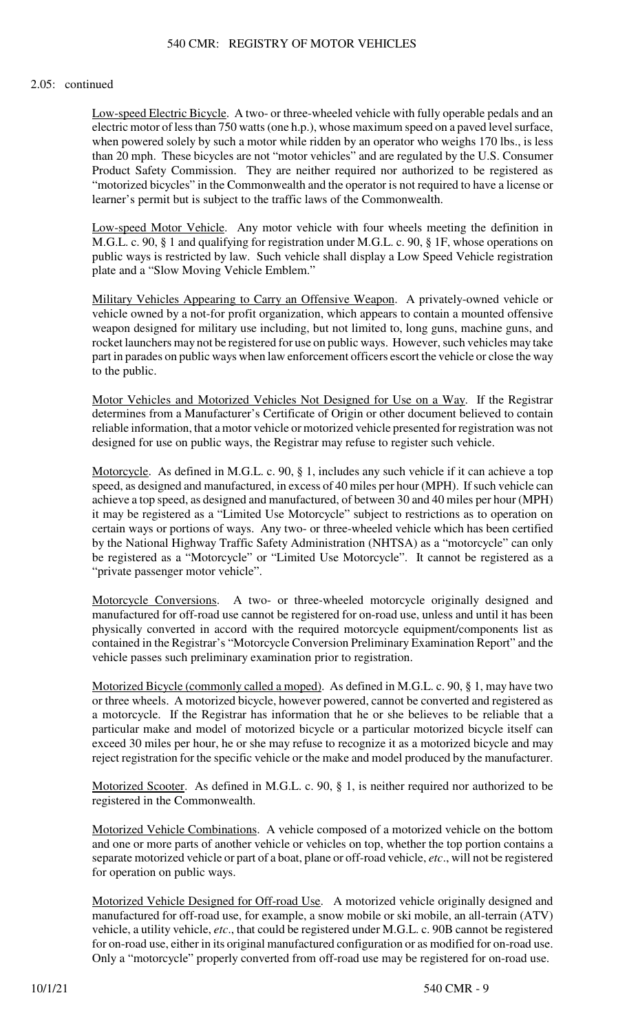# 540 CMR: REGISTRY OF MOTOR VEHICLES

## 2.05: continued

Low-speed Electric Bicycle. A two- or three-wheeled vehicle with fully operable pedals and an electric motor of less than 750 watts (one h.p.), whose maximum speed on a paved level surface, when powered solely by such a motor while ridden by an operator who weighs 170 lbs., is less than 20 mph. These bicycles are not "motor vehicles" and are regulated by the U.S. Consumer Product Safety Commission. They are neither required nor authorized to be registered as "motorized bicycles" in the Commonwealth and the operator is not required to have a license or learner's permit but is subject to the traffic laws of the Commonwealth.

Low-speed Motor Vehicle. Any motor vehicle with four wheels meeting the definition in M.G.L. c. 90, § 1 and qualifying for registration under M.G.L. c. 90, § 1F, whose operations on public ways is restricted by law. Such vehicle shall display a Low Speed Vehicle registration plate and a "Slow Moving Vehicle Emblem."

Military Vehicles Appearing to Carry an Offensive Weapon. A privately-owned vehicle or vehicle owned by a not-for profit organization, which appears to contain a mounted offensive weapon designed for military use including, but not limited to, long guns, machine guns, and rocket launchers may not be registered for use on public ways. However, such vehicles may take part in parades on public ways when law enforcement officers escort the vehicle or close the way to the public.

Motor Vehicles and Motorized Vehicles Not Designed for Use on a Way. If the Registrar determines from a Manufacturer's Certificate of Origin or other document believed to contain reliable information, that a motor vehicle or motorized vehicle presented for registration was not designed for use on public ways, the Registrar may refuse to register such vehicle.

Motorcycle. As defined in M.G.L. c. 90, § 1, includes any such vehicle if it can achieve a top speed, as designed and manufactured, in excess of 40 miles per hour (MPH). If such vehicle can achieve a top speed, as designed and manufactured, of between 30 and 40 miles per hour (MPH) it may be registered as a "Limited Use Motorcycle" subject to restrictions as to operation on certain ways or portions of ways. Any two- or three-wheeled vehicle which has been certified by the National Highway Traffic Safety Administration (NHTSA) as a "motorcycle" can only be registered as a "Motorcycle" or "Limited Use Motorcycle". It cannot be registered as a "private passenger motor vehicle".

Motorcycle Conversions. A two- or three-wheeled motorcycle originally designed and manufactured for off-road use cannot be registered for on-road use, unless and until it has been physically converted in accord with the required motorcycle equipment/components list as contained in the Registrar's "Motorcycle Conversion Preliminary Examination Report" and the vehicle passes such preliminary examination prior to registration.

Motorized Bicycle (commonly called a moped). As defined in M.G.L. c. 90, § 1, may have two or three wheels. A motorized bicycle, however powered, cannot be converted and registered as a motorcycle. If the Registrar has information that he or she believes to be reliable that a particular make and model of motorized bicycle or a particular motorized bicycle itself can exceed 30 miles per hour, he or she may refuse to recognize it as a motorized bicycle and may reject registration for the specific vehicle or the make and model produced by the manufacturer.

Motorized Scooter. As defined in M.G.L. c. 90, § 1, is neither required nor authorized to be registered in the Commonwealth.

Motorized Vehicle Combinations. A vehicle composed of a motorized vehicle on the bottom and one or more parts of another vehicle or vehicles on top, whether the top portion contains a separate motorized vehicle or part of a boat, plane or off-road vehicle, *etc*., will not be registered for operation on public ways.

Motorized Vehicle Designed for Off-road Use. A motorized vehicle originally designed and manufactured for off-road use, for example, a snow mobile or ski mobile, an all-terrain (ATV) vehicle, a utility vehicle, *etc*., that could be registered under M.G.L. c. 90B cannot be registered for on-road use, either in its original manufactured configuration or as modified for on-road use. Only a "motorcycle" properly converted from off-road use may be registered for on-road use.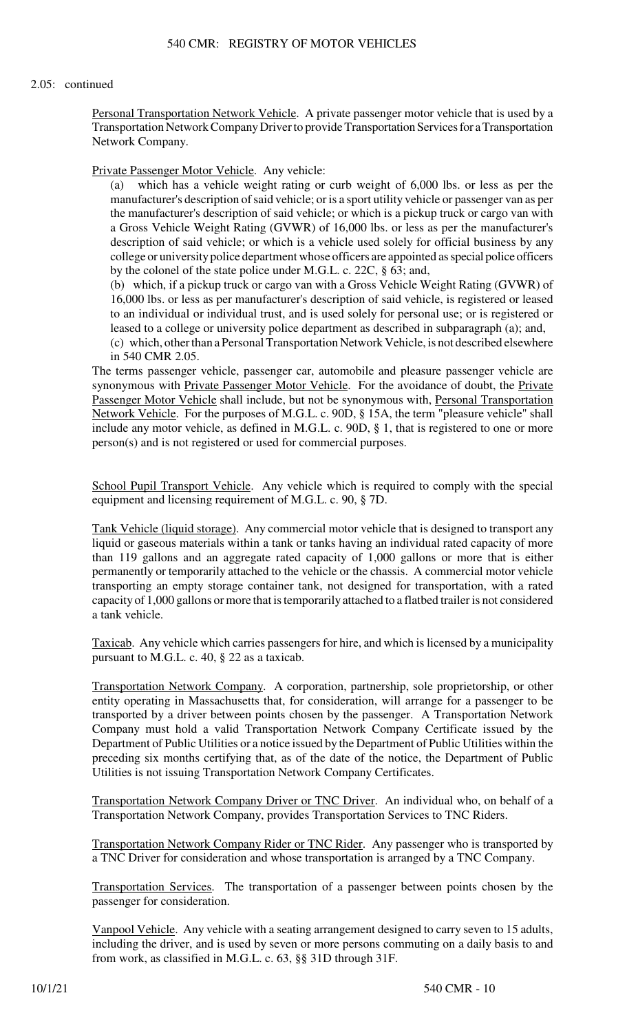## 2.05: continued

Personal Transportation Network Vehicle. A private passenger motor vehicle that is used by a Transportation Network Company Driver to provide Transportation Services for a Transportation Network Company.

Private Passenger Motor Vehicle. Any vehicle:

(a) which has a vehicle weight rating or curb weight of 6,000 lbs. or less as per the manufacturer's description of said vehicle; or is a sport utility vehicle or passenger van as per the manufacturer's description of said vehicle; or which is a pickup truck or cargo van with a Gross Vehicle Weight Rating (GVWR) of 16,000 lbs. or less as per the manufacturer's description of said vehicle; or which is a vehicle used solely for official business by any college or university police department whose officers are appointed as special police officers by the colonel of the state police under M.G.L. c. 22C, § 63; and,

(b) which, if a pickup truck or cargo van with a Gross Vehicle Weight Rating (GVWR) of 16,000 lbs. or less as per manufacturer's description of said vehicle, is registered or leased to an individual or individual trust, and is used solely for personal use; or is registered or leased to a college or university police department as described in subparagraph (a); and,

(c) which, other than a Personal Transportation Network Vehicle, is not described elsewhere in 540 CMR 2.05.

The terms passenger vehicle, passenger car, automobile and pleasure passenger vehicle are synonymous with Private Passenger Motor Vehicle. For the avoidance of doubt, the Private Passenger Motor Vehicle shall include, but not be synonymous with, Personal Transportation Network Vehicle. For the purposes of M.G.L. c. 90D, § 15A, the term "pleasure vehicle" shall include any motor vehicle, as defined in M.G.L. c. 90D, § 1, that is registered to one or more person(s) and is not registered or used for commercial purposes.

School Pupil Transport Vehicle. Any vehicle which is required to comply with the special equipment and licensing requirement of M.G.L. c. 90, § 7D.

Tank Vehicle (liquid storage). Any commercial motor vehicle that is designed to transport any liquid or gaseous materials within a tank or tanks having an individual rated capacity of more than 119 gallons and an aggregate rated capacity of 1,000 gallons or more that is either permanently or temporarily attached to the vehicle or the chassis. A commercial motor vehicle transporting an empty storage container tank, not designed for transportation, with a rated capacity of 1,000 gallons or more that is temporarily attached to a flatbed trailer is not considered a tank vehicle.

Taxicab. Any vehicle which carries passengers for hire, and which is licensed by a municipality pursuant to M.G.L. c. 40, § 22 as a taxicab.

Transportation Network Company. A corporation, partnership, sole proprietorship, or other entity operating in Massachusetts that, for consideration, will arrange for a passenger to be transported by a driver between points chosen by the passenger. A Transportation Network Company must hold a valid Transportation Network Company Certificate issued by the Department of Public Utilities or a notice issued by the Department of Public Utilities within the preceding six months certifying that, as of the date of the notice, the Department of Public Utilities is not issuing Transportation Network Company Certificates.

Transportation Network Company Driver or TNC Driver. An individual who, on behalf of a Transportation Network Company, provides Transportation Services to TNC Riders.

Transportation Network Company Rider or TNC Rider. Any passenger who is transported by a TNC Driver for consideration and whose transportation is arranged by a TNC Company.

Transportation Services. The transportation of a passenger between points chosen by the passenger for consideration.

Vanpool Vehicle. Any vehicle with a seating arrangement designed to carry seven to 15 adults, including the driver, and is used by seven or more persons commuting on a daily basis to and from work, as classified in M.G.L. c. 63, §§ 31D through 31F.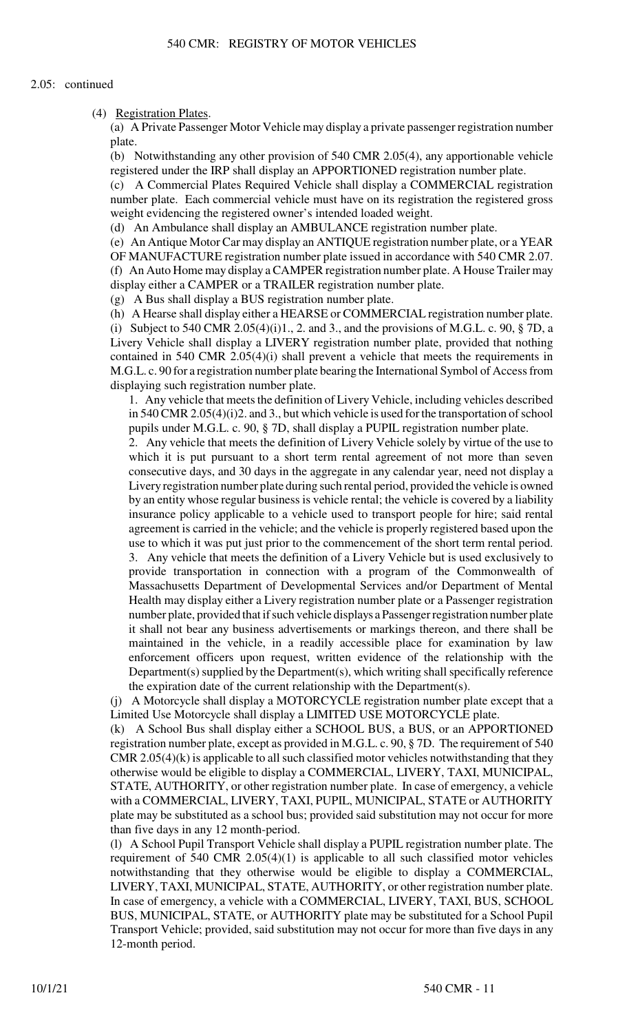(4) Registration Plates.

(a) A Private Passenger Motor Vehicle may display a private passenger registration number plate.

(b) Notwithstanding any other provision of 540 CMR 2.05(4), any apportionable vehicle registered under the IRP shall display an APPORTIONED registration number plate.

(c) A Commercial Plates Required Vehicle shall display a COMMERCIAL registration number plate. Each commercial vehicle must have on its registration the registered gross weight evidencing the registered owner's intended loaded weight.

(d) An Ambulance shall display an AMBULANCE registration number plate.

(e) An Antique Motor Car may display an ANTIQUE registration number plate, or a YEAR OF MANUFACTURE registration number plate issued in accordance with 540 CMR 2.07. (f) An Auto Home may display a CAMPER registration number plate. A House Trailer may display either a CAMPER or a TRAILER registration number plate.

(g) A Bus shall display a BUS registration number plate.

(h) A Hearse shall display either a HEARSE or COMMERCIAL registration number plate. (i) Subject to 540 CMR 2.05(4)(i)1., 2. and 3., and the provisions of M.G.L. c. 90,  $\S$  7D, a Livery Vehicle shall display a LIVERY registration number plate, provided that nothing contained in 540 CMR 2.05(4)(i) shall prevent a vehicle that meets the requirements in M.G.L. c. 90 for a registration number plate bearing the International Symbol of Access from displaying such registration number plate.

1. Any vehicle that meets the definition of Livery Vehicle, including vehicles described in 540 CMR 2.05(4)(i)2. and 3., but which vehicle is used for the transportation of school pupils under M.G.L. c. 90, § 7D, shall display a PUPIL registration number plate.

2. Any vehicle that meets the definition of Livery Vehicle solely by virtue of the use to which it is put pursuant to a short term rental agreement of not more than seven consecutive days, and 30 days in the aggregate in any calendar year, need not display a Livery registration number plate during such rental period, provided the vehicle is owned by an entity whose regular business is vehicle rental; the vehicle is covered by a liability insurance policy applicable to a vehicle used to transport people for hire; said rental agreement is carried in the vehicle; and the vehicle is properly registered based upon the use to which it was put just prior to the commencement of the short term rental period. 3. Any vehicle that meets the definition of a Livery Vehicle but is used exclusively to provide transportation in connection with a program of the Commonwealth of Massachusetts Department of Developmental Services and/or Department of Mental Health may display either a Livery registration number plate or a Passenger registration number plate, provided that if such vehicle displays a Passenger registration number plate it shall not bear any business advertisements or markings thereon, and there shall be maintained in the vehicle, in a readily accessible place for examination by law enforcement officers upon request, written evidence of the relationship with the Department(s) supplied by the Department(s), which writing shall specifically reference the expiration date of the current relationship with the Department(s).

(j) A Motorcycle shall display a MOTORCYCLE registration number plate except that a Limited Use Motorcycle shall display a LIMITED USE MOTORCYCLE plate.

(k) A School Bus shall display either a SCHOOL BUS, a BUS, or an APPORTIONED registration number plate, except as provided in M.G.L. c. 90, § 7D. The requirement of 540 CMR 2.05(4)(k) is applicable to all such classified motor vehicles notwithstanding that they otherwise would be eligible to display a COMMERCIAL, LIVERY, TAXI, MUNICIPAL, STATE, AUTHORITY, or other registration number plate. In case of emergency, a vehicle with a COMMERCIAL, LIVERY, TAXI, PUPIL, MUNICIPAL, STATE or AUTHORITY plate may be substituted as a school bus; provided said substitution may not occur for more than five days in any 12 month-period.

(l) A School Pupil Transport Vehicle shall display a PUPIL registration number plate. The requirement of 540 CMR 2.05(4)(1) is applicable to all such classified motor vehicles notwithstanding that they otherwise would be eligible to display a COMMERCIAL, LIVERY, TAXI, MUNICIPAL, STATE, AUTHORITY, or other registration number plate. In case of emergency, a vehicle with a COMMERCIAL, LIVERY, TAXI, BUS, SCHOOL BUS, MUNICIPAL, STATE, or AUTHORITY plate may be substituted for a School Pupil Transport Vehicle; provided, said substitution may not occur for more than five days in any 12-month period.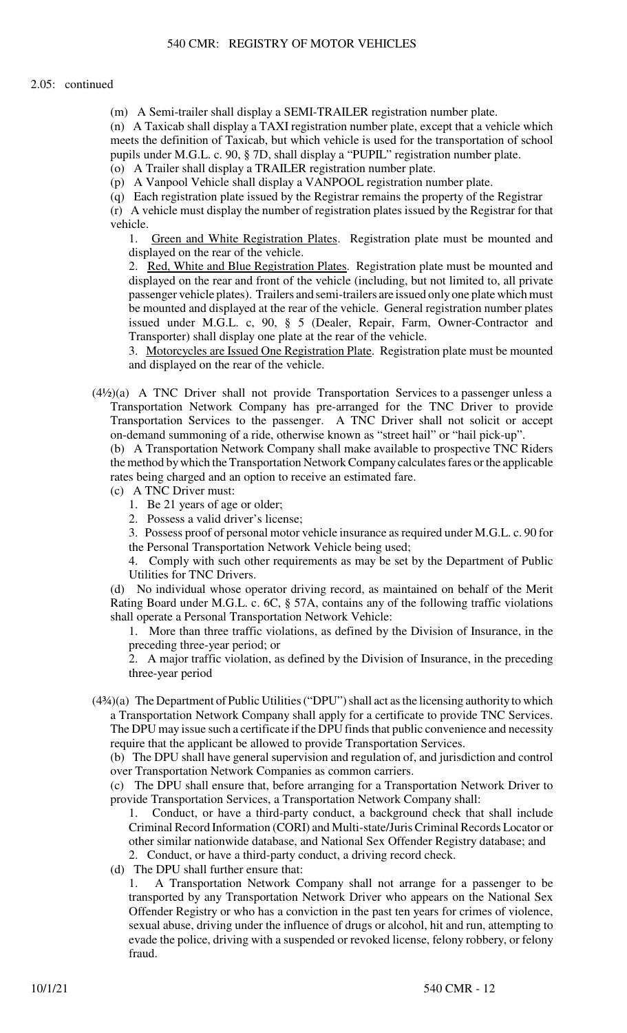(m) A Semi-trailer shall display a SEMI-TRAILER registration number plate.

(n) A Taxicab shall display a TAXI registration number plate, except that a vehicle which meets the definition of Taxicab, but which vehicle is used for the transportation of school pupils under M.G.L. c. 90, § 7D, shall display a "PUPIL" registration number plate. (o) A Trailer shall display a TRAILER registration number plate.

(p) A Vanpool Vehicle shall display a VANPOOL registration number plate.

(q) Each registration plate issued by the Registrar remains the property of the Registrar

(r) A vehicle must display the number of registration plates issued by the Registrar for that vehicle.

1. Green and White Registration Plates. Registration plate must be mounted and displayed on the rear of the vehicle.

2. Red, White and Blue Registration Plates. Registration plate must be mounted and displayed on the rear and front of the vehicle (including, but not limited to, all private passenger vehicle plates). Trailers and semi-trailers are issued only one plate which must be mounted and displayed at the rear of the vehicle. General registration number plates issued under M.G.L. c, 90, § 5 (Dealer, Repair, Farm, Owner-Contractor and Transporter) shall display one plate at the rear of the vehicle.

3. Motorcycles are Issued One Registration Plate. Registration plate must be mounted and displayed on the rear of the vehicle.

(4½)(a) A TNC Driver shall not provide Transportation Services to a passenger unless a Transportation Network Company has pre-arranged for the TNC Driver to provide Transportation Services to the passenger. A TNC Driver shall not solicit or accept on-demand summoning of a ride, otherwise known as "street hail" or "hail pick-up".

(b) A Transportation Network Company shall make available to prospective TNC Riders the method by which the Transportation Network Company calculates fares or the applicable rates being charged and an option to receive an estimated fare.

- (c) A TNC Driver must:
	- 1. Be 21 years of age or older;
	- 2. Possess a valid driver's license;

3. Possess proof of personal motor vehicle insurance as required under M.G.L. c. 90 for the Personal Transportation Network Vehicle being used;

4. Comply with such other requirements as may be set by the Department of Public Utilities for TNC Drivers.

(d) No individual whose operator driving record, as maintained on behalf of the Merit Rating Board under M.G.L. c. 6C, § 57A, contains any of the following traffic violations shall operate a Personal Transportation Network Vehicle:

1. More than three traffic violations, as defined by the Division of Insurance, in the preceding three-year period; or

2. A major traffic violation, as defined by the Division of Insurance, in the preceding three-year period

(4¾)(a) The Department of Public Utilities ("DPU") shall act as the licensing authority to which a Transportation Network Company shall apply for a certificate to provide TNC Services. The DPU may issue such a certificate if the DPU finds that public convenience and necessity require that the applicant be allowed to provide Transportation Services.

(b) The DPU shall have general supervision and regulation of, and jurisdiction and control over Transportation Network Companies as common carriers.

(c) The DPU shall ensure that, before arranging for a Transportation Network Driver to provide Transportation Services, a Transportation Network Company shall:

- 1. Conduct, or have a third-party conduct, a background check that shall include Criminal Record Information (CORI) and Multi-state/Juris Criminal Records Locator or other similar nationwide database, and National Sex Offender Registry database; and 2. Conduct, or have a third-party conduct, a driving record check.
- (d) The DPU shall further ensure that:

1. A Transportation Network Company shall not arrange for a passenger to be transported by any Transportation Network Driver who appears on the National Sex Offender Registry or who has a conviction in the past ten years for crimes of violence, sexual abuse, driving under the influence of drugs or alcohol, hit and run, attempting to evade the police, driving with a suspended or revoked license, felony robbery, or felony fraud.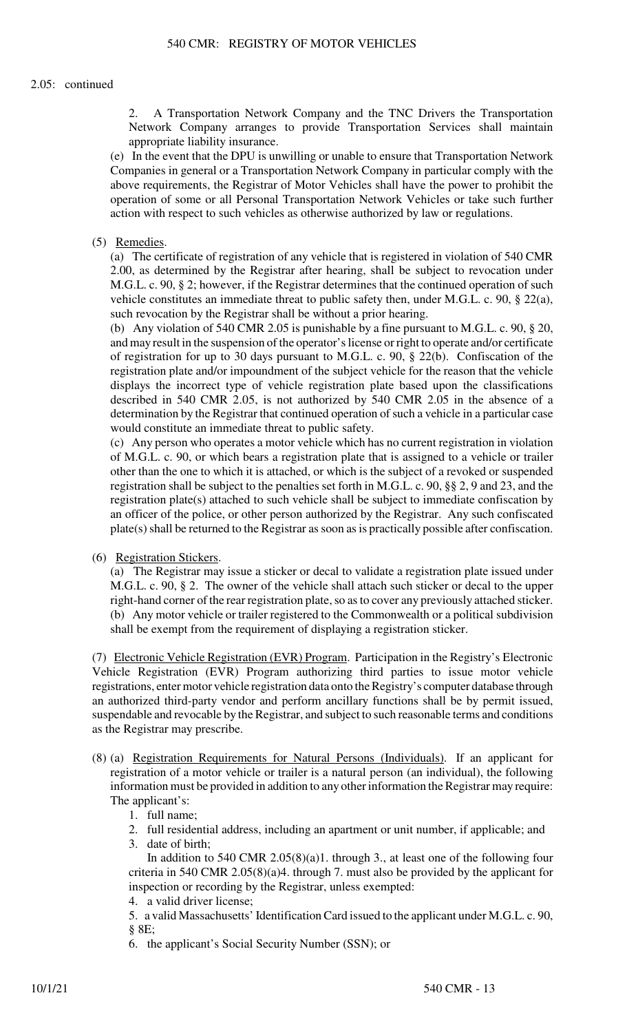## 2.05: continued

2. A Transportation Network Company and the TNC Drivers the Transportation Network Company arranges to provide Transportation Services shall maintain appropriate liability insurance.

(e) In the event that the DPU is unwilling or unable to ensure that Transportation Network Companies in general or a Transportation Network Company in particular comply with the above requirements, the Registrar of Motor Vehicles shall have the power to prohibit the operation of some or all Personal Transportation Network Vehicles or take such further action with respect to such vehicles as otherwise authorized by law or regulations.

## (5) Remedies.

(a) The certificate of registration of any vehicle that is registered in violation of 540 CMR 2.00, as determined by the Registrar after hearing, shall be subject to revocation under M.G.L. c. 90, § 2; however, if the Registrar determines that the continued operation of such vehicle constitutes an immediate threat to public safety then, under M.G.L. c. 90, § 22(a), such revocation by the Registrar shall be without a prior hearing.

(b) Any violation of 540 CMR 2.05 is punishable by a fine pursuant to M.G.L. c. 90, § 20, and may result in the suspension of the operator's license or right to operate and/or certificate of registration for up to 30 days pursuant to M.G.L. c. 90, § 22(b). Confiscation of the registration plate and/or impoundment of the subject vehicle for the reason that the vehicle displays the incorrect type of vehicle registration plate based upon the classifications described in 540 CMR 2.05, is not authorized by 540 CMR 2.05 in the absence of a determination by the Registrar that continued operation of such a vehicle in a particular case would constitute an immediate threat to public safety.

(c) Any person who operates a motor vehicle which has no current registration in violation of M.G.L. c. 90, or which bears a registration plate that is assigned to a vehicle or trailer other than the one to which it is attached, or which is the subject of a revoked or suspended registration shall be subject to the penalties set forth in M.G.L. c. 90, §§ 2, 9 and 23, and the registration plate(s) attached to such vehicle shall be subject to immediate confiscation by an officer of the police, or other person authorized by the Registrar. Any such confiscated plate(s) shall be returned to the Registrar as soon as is practically possible after confiscation.

#### (6) Registration Stickers.

(a) The Registrar may issue a sticker or decal to validate a registration plate issued under M.G.L. c. 90, § 2. The owner of the vehicle shall attach such sticker or decal to the upper right-hand corner of the rear registration plate, so as to cover any previously attached sticker. (b) Any motor vehicle or trailer registered to the Commonwealth or a political subdivision shall be exempt from the requirement of displaying a registration sticker.

(7) Electronic Vehicle Registration (EVR) Program. Participation in the Registry's Electronic Vehicle Registration (EVR) Program authorizing third parties to issue motor vehicle registrations, enter motor vehicle registration data onto the Registry's computer database through an authorized third-party vendor and perform ancillary functions shall be by permit issued, suspendable and revocable by the Registrar, and subject to such reasonable terms and conditions as the Registrar may prescribe.

- (8) (a) Registration Requirements for Natural Persons (Individuals). If an applicant for registration of a motor vehicle or trailer is a natural person (an individual), the following information must be provided in addition to any other information the Registrar may require: The applicant's:
	- 1. full name;
	- 2. full residential address, including an apartment or unit number, if applicable; and
	- 3. date of birth;

In addition to 540 CMR 2.05(8)(a)1. through 3., at least one of the following four criteria in 540 CMR 2.05(8)(a)4. through 7. must also be provided by the applicant for inspection or recording by the Registrar, unless exempted:

4. a valid driver license;

5. a valid Massachusetts' Identification Card issued to the applicant under M.G.L. c. 90, § 8E;

6. the applicant's Social Security Number (SSN); or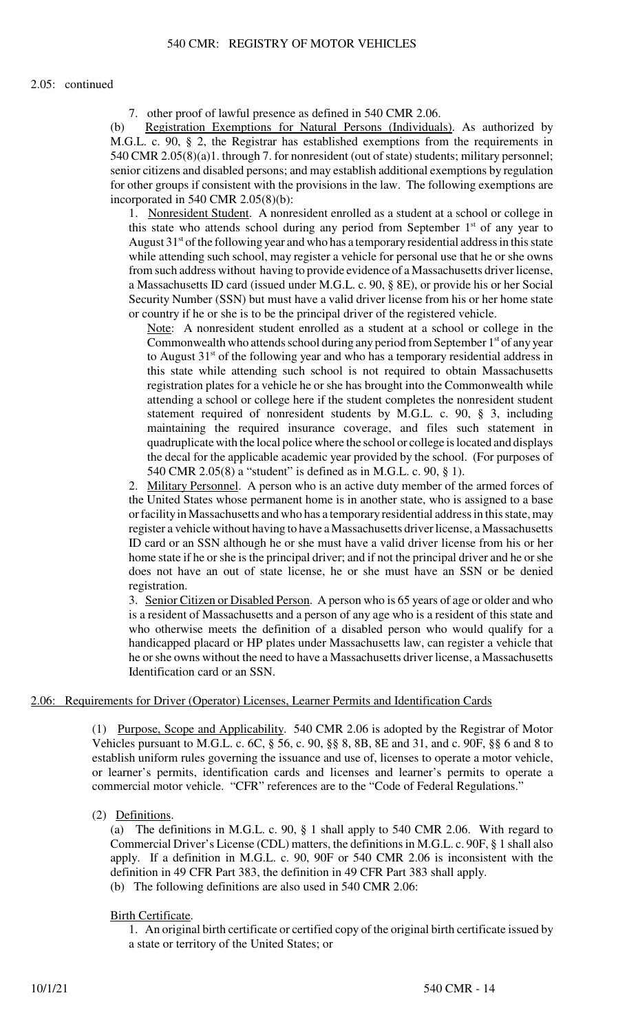## 2.05: continued

7. other proof of lawful presence as defined in 540 CMR 2.06.

(b) Registration Exemptions for Natural Persons (Individuals). As authorized by M.G.L. c. 90, § 2, the Registrar has established exemptions from the requirements in 540 CMR 2.05(8)(a)1. through 7. for nonresident (out of state) students; military personnel; senior citizens and disabled persons; and may establish additional exemptions by regulation for other groups if consistent with the provisions in the law. The following exemptions are incorporated in 540 CMR 2.05(8)(b):

1. Nonresident Student. A nonresident enrolled as a student at a school or college in this state who attends school during any period from September  $1<sup>st</sup>$  of any year to August  $31<sup>st</sup>$  of the following year and who has a temporary residential address in this state while attending such school, may register a vehicle for personal use that he or she owns from such address without having to provide evidence of a Massachusetts driver license, a Massachusetts ID card (issued under M.G.L. c. 90, § 8E), or provide his or her Social Security Number (SSN) but must have a valid driver license from his or her home state or country if he or she is to be the principal driver of the registered vehicle.

Note: A nonresident student enrolled as a student at a school or college in the Commonwealth who attends school during any period from September  $1<sup>st</sup>$  of any year to August  $31<sup>st</sup>$  of the following year and who has a temporary residential address in this state while attending such school is not required to obtain Massachusetts registration plates for a vehicle he or she has brought into the Commonwealth while attending a school or college here if the student completes the nonresident student statement required of nonresident students by M.G.L. c. 90, § 3, including maintaining the required insurance coverage, and files such statement in quadruplicate with the local police where the school or college is located and displays the decal for the applicable academic year provided by the school. (For purposes of 540 CMR 2.05(8) a "student" is defined as in M.G.L. c. 90, § 1).

2. Military Personnel. A person who is an active duty member of the armed forces of the United States whose permanent home is in another state, who is assigned to a base or facility in Massachusetts and who has a temporary residential address in this state, may register a vehicle without having to have a Massachusetts driver license, a Massachusetts ID card or an SSN although he or she must have a valid driver license from his or her home state if he or she is the principal driver; and if not the principal driver and he or she does not have an out of state license, he or she must have an SSN or be denied registration.

3. Senior Citizen or Disabled Person. A person who is 65 years of age or older and who is a resident of Massachusetts and a person of any age who is a resident of this state and who otherwise meets the definition of a disabled person who would qualify for a handicapped placard or HP plates under Massachusetts law, can register a vehicle that he or she owns without the need to have a Massachusetts driver license, a Massachusetts Identification card or an SSN.

# 2.06: Requirements for Driver (Operator) Licenses, Learner Permits and Identification Cards

(1) Purpose, Scope and Applicability. 540 CMR 2.06 is adopted by the Registrar of Motor Vehicles pursuant to M.G.L. c. 6C, § 56, c. 90, §§ 8, 8B, 8E and 31, and c. 90F, §§ 6 and 8 to establish uniform rules governing the issuance and use of, licenses to operate a motor vehicle, or learner's permits, identification cards and licenses and learner's permits to operate a commercial motor vehicle. "CFR" references are to the "Code of Federal Regulations."

# (2) Definitions.

(a) The definitions in M.G.L. c. 90, § 1 shall apply to 540 CMR 2.06. With regard to Commercial Driver's License (CDL) matters, the definitions in M.G.L. c. 90F, § 1 shall also apply. If a definition in M.G.L. c. 90, 90F or 540 CMR 2.06 is inconsistent with the definition in 49 CFR Part 383, the definition in 49 CFR Part 383 shall apply. (b) The following definitions are also used in 540 CMR 2.06:

# Birth Certificate.

1. An original birth certificate or certified copy of the original birth certificate issued by a state or territory of the United States; or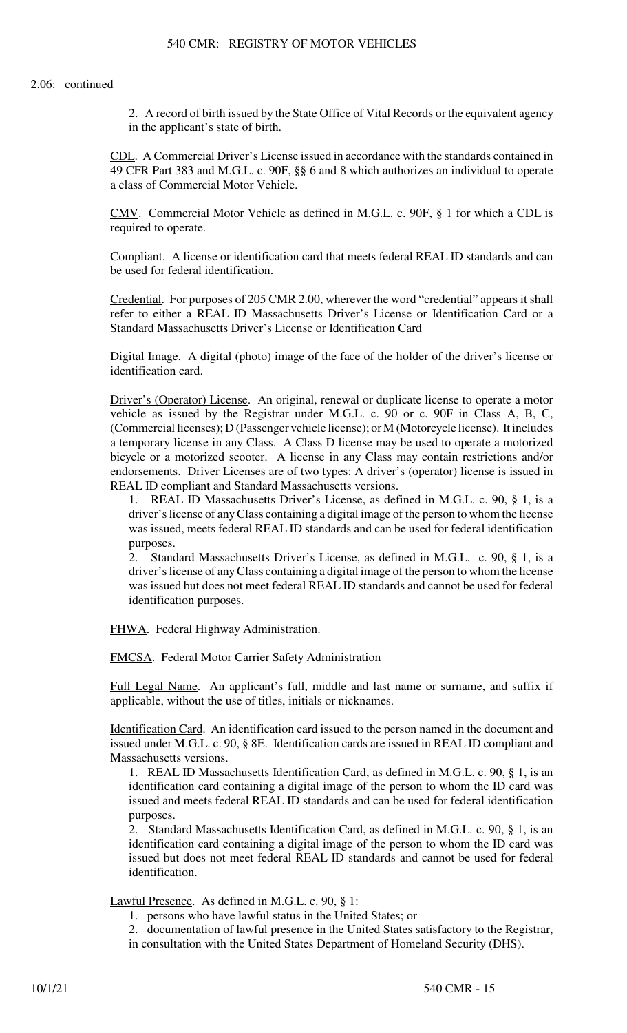2. A record of birth issued by the State Office of Vital Records or the equivalent agency in the applicant's state of birth.

CDL. A Commercial Driver's License issued in accordance with the standards contained in 49 CFR Part 383 and M.G.L. c. 90F, §§ 6 and 8 which authorizes an individual to operate a class of Commercial Motor Vehicle.

CMV. Commercial Motor Vehicle as defined in M.G.L. c. 90F, § 1 for which a CDL is required to operate.

Compliant. A license or identification card that meets federal REAL ID standards and can be used for federal identification.

Credential. For purposes of 205 CMR 2.00, wherever the word "credential" appears it shall refer to either a REAL ID Massachusetts Driver's License or Identification Card or a Standard Massachusetts Driver's License or Identification Card

Digital Image. A digital (photo) image of the face of the holder of the driver's license or identification card.

Driver's (Operator) License. An original, renewal or duplicate license to operate a motor vehicle as issued by the Registrar under M.G.L. c. 90 or c. 90F in Class A, B, C, (Commercial licenses); D (Passenger vehicle license); or M (Motorcycle license). It includes a temporary license in any Class. A Class D license may be used to operate a motorized bicycle or a motorized scooter. A license in any Class may contain restrictions and/or endorsements. Driver Licenses are of two types: A driver's (operator) license is issued in REAL ID compliant and Standard Massachusetts versions.

1. REAL ID Massachusetts Driver's License, as defined in M.G.L. c. 90, § 1, is a driver's license of any Class containing a digital image of the person to whom the license was issued, meets federal REAL ID standards and can be used for federal identification purposes.

2. Standard Massachusetts Driver's License, as defined in M.G.L. c. 90, § 1, is a driver's license of any Class containing a digital image of the person to whom the license was issued but does not meet federal REAL ID standards and cannot be used for federal identification purposes.

FHWA. Federal Highway Administration.

FMCSA. Federal Motor Carrier Safety Administration

Full Legal Name. An applicant's full, middle and last name or surname, and suffix if applicable, without the use of titles, initials or nicknames.

Identification Card. An identification card issued to the person named in the document and issued under M.G.L. c. 90, § 8E. Identification cards are issued in REAL ID compliant and Massachusetts versions.

1. REAL ID Massachusetts Identification Card, as defined in M.G.L. c. 90, § 1, is an identification card containing a digital image of the person to whom the ID card was issued and meets federal REAL ID standards and can be used for federal identification purposes.

2. Standard Massachusetts Identification Card, as defined in M.G.L. c. 90, § 1, is an identification card containing a digital image of the person to whom the ID card was issued but does not meet federal REAL ID standards and cannot be used for federal identification.

Lawful Presence. As defined in M.G.L. c. 90, § 1:

- 1. persons who have lawful status in the United States; or
- 2. documentation of lawful presence in the United States satisfactory to the Registrar,
- in consultation with the United States Department of Homeland Security (DHS).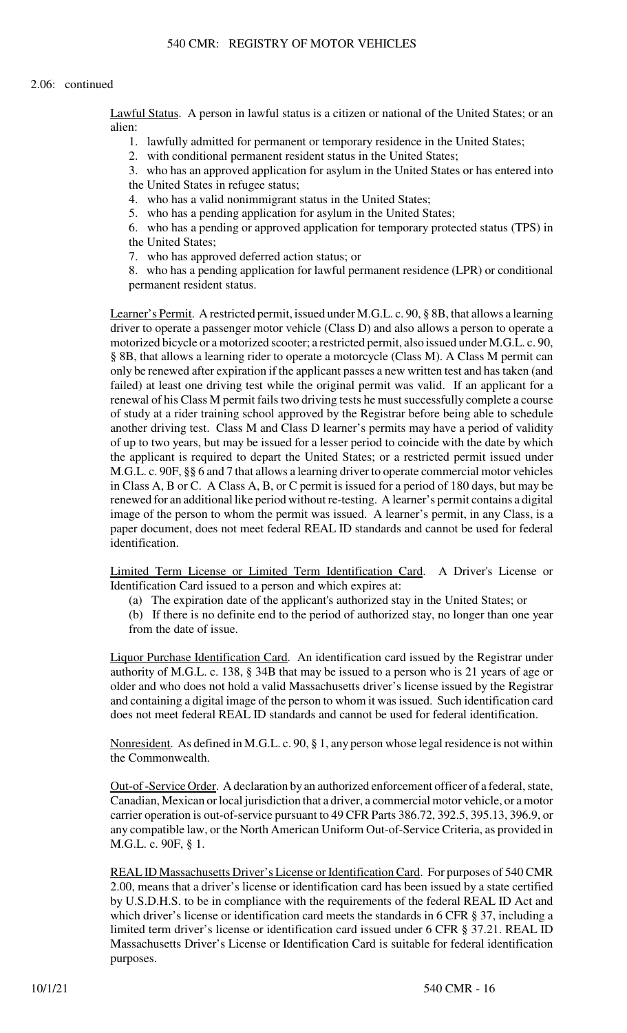Lawful Status. A person in lawful status is a citizen or national of the United States; or an alien:

1. lawfully admitted for permanent or temporary residence in the United States;

2. with conditional permanent resident status in the United States;

3. who has an approved application for asylum in the United States or has entered into the United States in refugee status;

4. who has a valid nonimmigrant status in the United States;

5. who has a pending application for asylum in the United States;

6. who has a pending or approved application for temporary protected status (TPS) in the United States;

7. who has approved deferred action status; or

8. who has a pending application for lawful permanent residence (LPR) or conditional permanent resident status.

Learner's Permit. A restricted permit, issued under M.G.L. c. 90, § 8B, that allows a learning driver to operate a passenger motor vehicle (Class D) and also allows a person to operate a motorized bicycle or a motorized scooter; a restricted permit, also issued under M.G.L. c. 90, § 8B, that allows a learning rider to operate a motorcycle (Class M). A Class M permit can only be renewed after expiration if the applicant passes a new written test and has taken (and failed) at least one driving test while the original permit was valid. If an applicant for a renewal of his Class M permit fails two driving tests he must successfully complete a course of study at a rider training school approved by the Registrar before being able to schedule another driving test. Class M and Class D learner's permits may have a period of validity of up to two years, but may be issued for a lesser period to coincide with the date by which the applicant is required to depart the United States; or a restricted permit issued under M.G.L. c. 90F, §§ 6 and 7 that allows a learning driver to operate commercial motor vehicles in Class A, B or C. A Class A, B, or C permit is issued for a period of 180 days, but may be renewed for an additional like period without re-testing. A learner's permit contains a digital image of the person to whom the permit was issued. A learner's permit, in any Class, is a paper document, does not meet federal REAL ID standards and cannot be used for federal identification.

Limited Term License or Limited Term Identification Card. A Driver's License or Identification Card issued to a person and which expires at:

(a) The expiration date of the applicant's authorized stay in the United States; or

(b) If there is no definite end to the period of authorized stay, no longer than one year from the date of issue.

Liquor Purchase Identification Card. An identification card issued by the Registrar under authority of M.G.L. c. 138, § 34B that may be issued to a person who is 21 years of age or older and who does not hold a valid Massachusetts driver's license issued by the Registrar and containing a digital image of the person to whom it was issued. Such identification card does not meet federal REAL ID standards and cannot be used for federal identification.

Nonresident. As defined in M.G.L. c. 90, § 1, any person whose legal residence is not within the Commonwealth.

Out-of -Service Order. A declaration by an authorized enforcement officer of a federal, state, Canadian, Mexican or local jurisdiction that a driver, a commercial motor vehicle, or a motor carrier operation is out-of-service pursuant to 49 CFR Parts 386.72, 392.5, 395.13, 396.9, or any compatible law, or the North American Uniform Out-of-Service Criteria, as provided in M.G.L. c. 90F, § 1.

REAL ID Massachusetts Driver's License or Identification Card. For purposes of 540 CMR 2.00, means that a driver's license or identification card has been issued by a state certified by U.S.D.H.S. to be in compliance with the requirements of the federal REAL ID Act and which driver's license or identification card meets the standards in 6 CFR § 37, including a limited term driver's license or identification card issued under 6 CFR § 37.21. REAL ID Massachusetts Driver's License or Identification Card is suitable for federal identification purposes.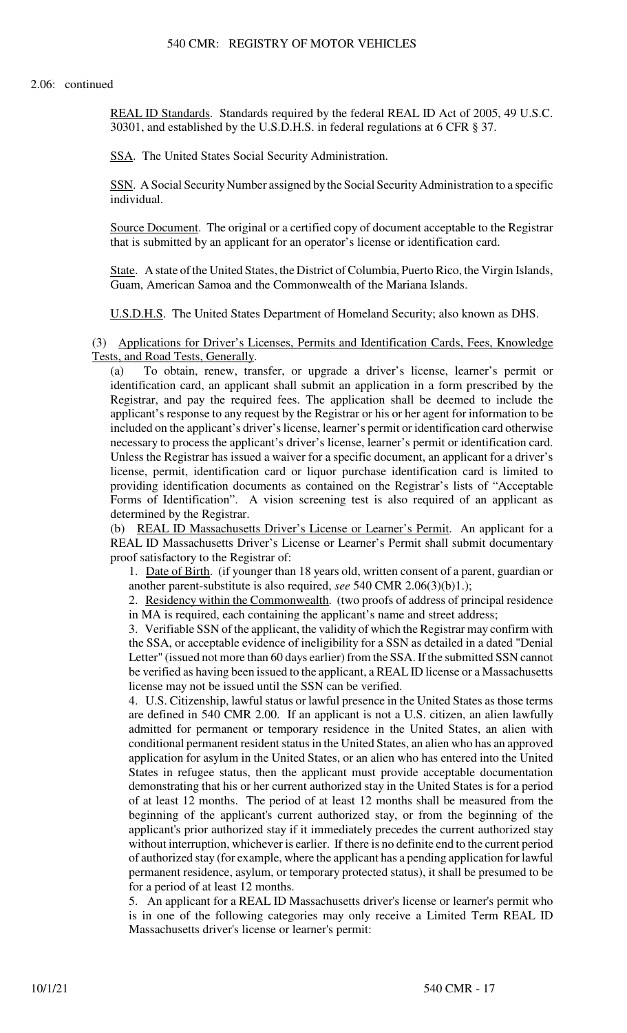REAL ID Standards. Standards required by the federal REAL ID Act of 2005, 49 U.S.C. 30301, and established by the U.S.D.H.S. in federal regulations at 6 CFR § 37.

SSA. The United States Social Security Administration.

SSN. A Social Security Number assigned by the Social Security Administration to a specific individual.

Source Document. The original or a certified copy of document acceptable to the Registrar that is submitted by an applicant for an operator's license or identification card.

State. A state of the United States, the District of Columbia, Puerto Rico, the Virgin Islands, Guam, American Samoa and the Commonwealth of the Mariana Islands.

U.S.D.H.S. The United States Department of Homeland Security; also known as DHS.

(3) Applications for Driver's Licenses, Permits and Identification Cards, Fees, Knowledge Tests, and Road Tests, Generally.

(a) To obtain, renew, transfer, or upgrade a driver's license, learner's permit or identification card, an applicant shall submit an application in a form prescribed by the Registrar, and pay the required fees. The application shall be deemed to include the applicant's response to any request by the Registrar or his or her agent for information to be included on the applicant's driver's license, learner's permit or identification card otherwise necessary to process the applicant's driver's license, learner's permit or identification card. Unless the Registrar has issued a waiver for a specific document, an applicant for a driver's license, permit, identification card or liquor purchase identification card is limited to providing identification documents as contained on the Registrar's lists of "Acceptable Forms of Identification". A vision screening test is also required of an applicant as determined by the Registrar.

(b) REAL ID Massachusetts Driver's License or Learner's Permit. An applicant for a REAL ID Massachusetts Driver's License or Learner's Permit shall submit documentary proof satisfactory to the Registrar of:

1. Date of Birth. (if younger than 18 years old, written consent of a parent, guardian or another parent-substitute is also required, *see* 540 CMR 2.06(3)(b)1.);

2. Residency within the Commonwealth. (two proofs of address of principal residence in MA is required, each containing the applicant's name and street address;

3. Verifiable SSN of the applicant, the validity of which the Registrar may confirm with the SSA, or acceptable evidence of ineligibility for a SSN as detailed in a dated "Denial Letter" (issued not more than 60 days earlier) from the SSA. If the submitted SSN cannot be verified as having been issued to the applicant, a REAL ID license or a Massachusetts license may not be issued until the SSN can be verified.

4. U.S. Citizenship, lawful status or lawful presence in the United States as those terms are defined in 540 CMR 2.00. If an applicant is not a U.S. citizen, an alien lawfully admitted for permanent or temporary residence in the United States, an alien with conditional permanent resident status in the United States, an alien who has an approved application for asylum in the United States, or an alien who has entered into the United States in refugee status, then the applicant must provide acceptable documentation demonstrating that his or her current authorized stay in the United States is for a period of at least 12 months. The period of at least 12 months shall be measured from the beginning of the applicant's current authorized stay, or from the beginning of the applicant's prior authorized stay if it immediately precedes the current authorized stay without interruption, whichever is earlier. If there is no definite end to the current period of authorized stay (for example, where the applicant has a pending application for lawful permanent residence, asylum, or temporary protected status), it shall be presumed to be for a period of at least 12 months.

5. An applicant for a REAL ID Massachusetts driver's license or learner's permit who is in one of the following categories may only receive a Limited Term REAL ID Massachusetts driver's license or learner's permit: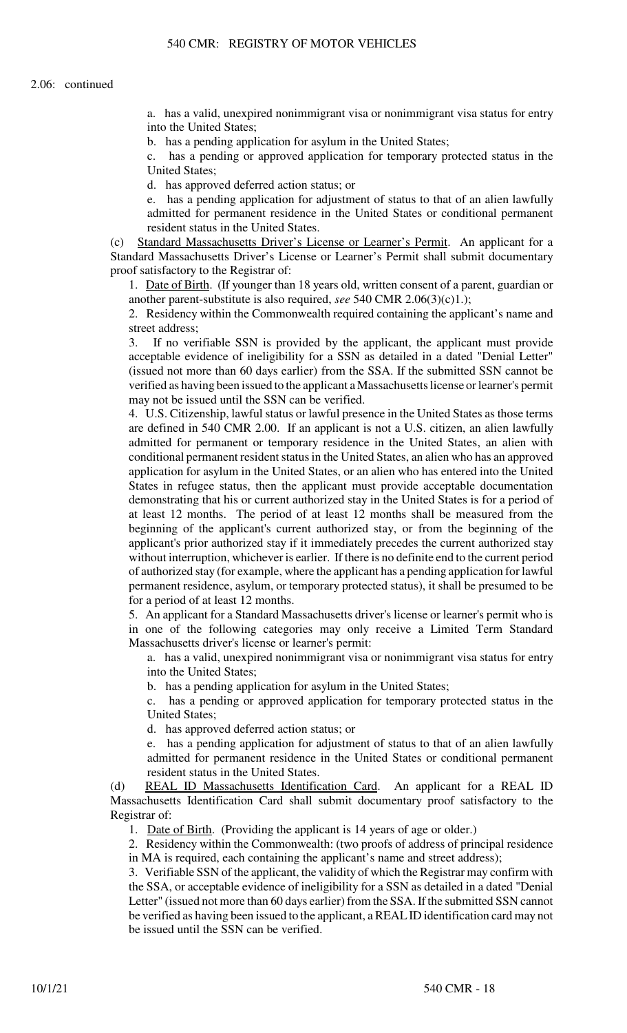a. has a valid, unexpired nonimmigrant visa or nonimmigrant visa status for entry into the United States;

b. has a pending application for asylum in the United States;

c. has a pending or approved application for temporary protected status in the United States;

d. has approved deferred action status; or

e. has a pending application for adjustment of status to that of an alien lawfully admitted for permanent residence in the United States or conditional permanent resident status in the United States.

(c) Standard Massachusetts Driver's License or Learner's Permit. An applicant for a Standard Massachusetts Driver's License or Learner's Permit shall submit documentary proof satisfactory to the Registrar of:

1. Date of Birth. (If younger than 18 years old, written consent of a parent, guardian or another parent-substitute is also required, *see* 540 CMR 2.06(3)(c)1.);

2. Residency within the Commonwealth required containing the applicant's name and street address;

3. If no verifiable SSN is provided by the applicant, the applicant must provide acceptable evidence of ineligibility for a SSN as detailed in a dated "Denial Letter" (issued not more than 60 days earlier) from the SSA. If the submitted SSN cannot be verified as having been issued to the applicant a Massachusetts license or learner's permit may not be issued until the SSN can be verified.

4. U.S. Citizenship, lawful status or lawful presence in the United States as those terms are defined in 540 CMR 2.00. If an applicant is not a U.S. citizen, an alien lawfully admitted for permanent or temporary residence in the United States, an alien with conditional permanent resident status in the United States, an alien who has an approved application for asylum in the United States, or an alien who has entered into the United States in refugee status, then the applicant must provide acceptable documentation demonstrating that his or current authorized stay in the United States is for a period of at least 12 months. The period of at least 12 months shall be measured from the beginning of the applicant's current authorized stay, or from the beginning of the applicant's prior authorized stay if it immediately precedes the current authorized stay without interruption, whichever is earlier. If there is no definite end to the current period of authorized stay (for example, where the applicant has a pending application for lawful permanent residence, asylum, or temporary protected status), it shall be presumed to be for a period of at least 12 months.

5. An applicant for a Standard Massachusetts driver's license or learner's permit who is in one of the following categories may only receive a Limited Term Standard Massachusetts driver's license or learner's permit:

a. has a valid, unexpired nonimmigrant visa or nonimmigrant visa status for entry into the United States;

b. has a pending application for asylum in the United States;

c. has a pending or approved application for temporary protected status in the United States;

d. has approved deferred action status; or

e. has a pending application for adjustment of status to that of an alien lawfully admitted for permanent residence in the United States or conditional permanent resident status in the United States.

(d) REAL ID Massachusetts Identification Card. An applicant for a REAL ID Massachusetts Identification Card shall submit documentary proof satisfactory to the Registrar of:

1. Date of Birth. (Providing the applicant is 14 years of age or older.)

2. Residency within the Commonwealth: (two proofs of address of principal residence in MA is required, each containing the applicant's name and street address);

3. Verifiable SSN of the applicant, the validity of which the Registrar may confirm with the SSA, or acceptable evidence of ineligibility for a SSN as detailed in a dated "Denial Letter" (issued not more than 60 days earlier) from the SSA. If the submitted SSN cannot be verified as having been issued to the applicant, a REAL ID identification card may not be issued until the SSN can be verified.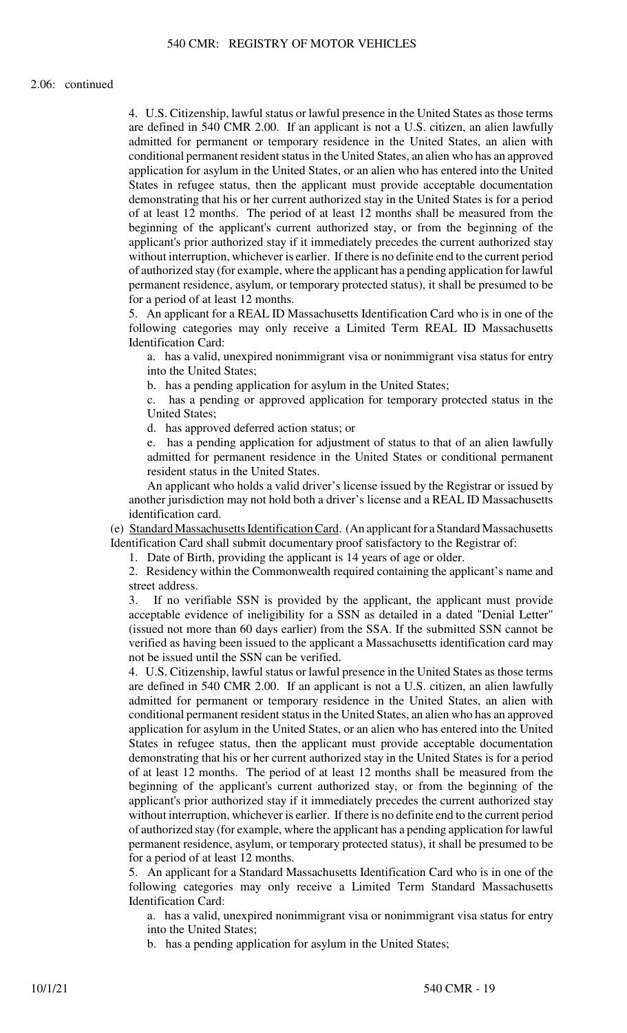4. U.S. Citizenship, lawful status or lawful presence in the United States as those terms are defined in 540 CMR 2.00. If an applicant is not a U.S. citizen, an alien lawfully admitted for permanent or temporary residence in the United States, an alien with conditional permanent resident status in the United States, an alien who has an approved application for asylum in the United States, or an alien who has entered into the United States in refugee status, then the applicant must provide acceptable documentation demonstrating that his or her current authorized stay in the United States is for a period of at least 12 months. The period of at least 12 months shall be measured from the beginning of the applicant's current authorized stay, or from the beginning of the applicant's prior authorized stay if it immediately precedes the current authorized stay without interruption, whichever is earlier. If there is no definite end to the current period of authorized stay (for example, where the applicant has a pending application for lawful permanent residence, asylum, or temporary protected status), it shall be presumed to be for a period of at least 12 months.

5. An applicant for a REAL ID Massachusetts Identification Card who is in one of the following categories may only receive a Limited Term REAL ID Massachusetts Identification Card:

a. has a valid, unexpired nonimmigrant visa or nonimmigrant visa status for entry into the United States;

b. has a pending application for asylum in the United States;

c. has a pending or approved application for temporary protected status in the United States;

d. has approved deferred action status; or

e. has a pending application for adjustment of status to that of an alien lawfully admitted for permanent residence in the United States or conditional permanent resident status in the United States.

An applicant who holds a valid driver's license issued by the Registrar or issued by another jurisdiction may not hold both a driver's license and a REAL ID Massachusetts identification card.

(e) Standard Massachusetts Identification Card. (An applicant for a Standard Massachusetts Identification Card shall submit documentary proof satisfactory to the Registrar of:

1. Date of Birth, providing the applicant is 14 years of age or older.

2. Residency within the Commonwealth required containing the applicant's name and street address.

3. If no verifiable SSN is provided by the applicant, the applicant must provide acceptable evidence of ineligibility for a SSN as detailed in a dated "Denial Letter" (issued not more than 60 days earlier) from the SSA. If the submitted SSN cannot be verified as having been issued to the applicant a Massachusetts identification card may not be issued until the SSN can be verified.

4. U.S. Citizenship, lawful status or lawful presence in the United States as those terms are defined in 540 CMR 2.00. If an applicant is not a U.S. citizen, an alien lawfully admitted for permanent or temporary residence in the United States, an alien with conditional permanent resident status in the United States, an alien who has an approved application for asylum in the United States, or an alien who has entered into the United States in refugee status, then the applicant must provide acceptable documentation demonstrating that his or her current authorized stay in the United States is for a period of at least 12 months. The period of at least 12 months shall be measured from the beginning of the applicant's current authorized stay, or from the beginning of the applicant's prior authorized stay if it immediately precedes the current authorized stay without interruption, whichever is earlier. If there is no definite end to the current period of authorized stay (for example, where the applicant has a pending application for lawful permanent residence, asylum, or temporary protected status), it shall be presumed to be for a period of at least 12 months.

5. An applicant for a Standard Massachusetts Identification Card who is in one of the following categories may only receive a Limited Term Standard Massachusetts Identification Card:

a. has a valid, unexpired nonimmigrant visa or nonimmigrant visa status for entry into the United States;

b. has a pending application for asylum in the United States;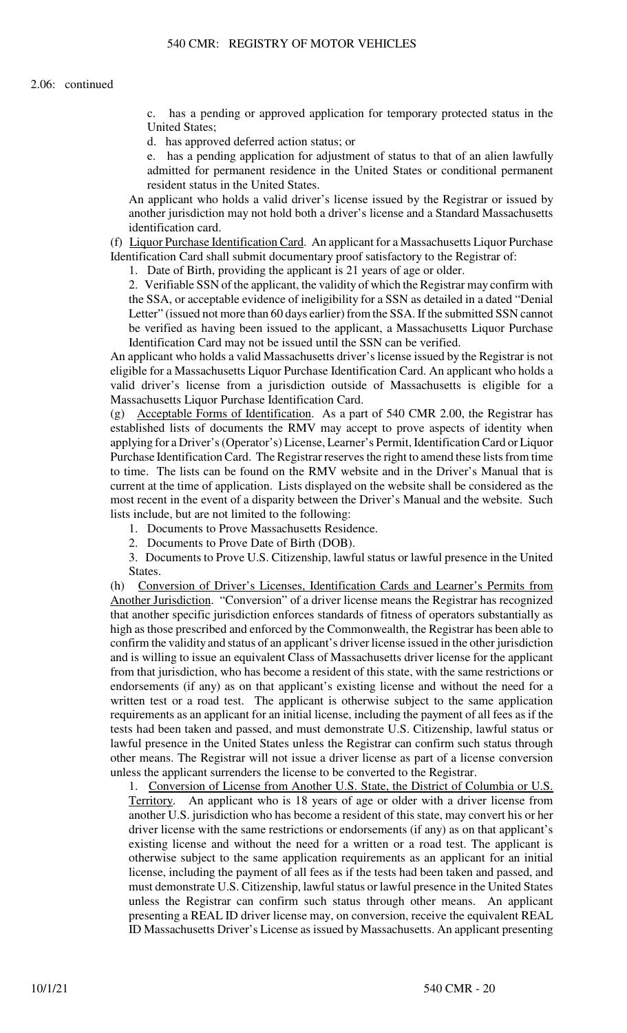c. has a pending or approved application for temporary protected status in the United States;

d. has approved deferred action status; or

e. has a pending application for adjustment of status to that of an alien lawfully admitted for permanent residence in the United States or conditional permanent resident status in the United States.

An applicant who holds a valid driver's license issued by the Registrar or issued by another jurisdiction may not hold both a driver's license and a Standard Massachusetts identification card.

(f) Liquor Purchase Identification Card. An applicant for a Massachusetts Liquor Purchase Identification Card shall submit documentary proof satisfactory to the Registrar of:

1. Date of Birth, providing the applicant is 21 years of age or older.

2. Verifiable SSN of the applicant, the validity of which the Registrar may confirm with the SSA, or acceptable evidence of ineligibility for a SSN as detailed in a dated "Denial Letter" (issued not more than 60 days earlier) from the SSA. If the submitted SSN cannot be verified as having been issued to the applicant, a Massachusetts Liquor Purchase Identification Card may not be issued until the SSN can be verified.

An applicant who holds a valid Massachusetts driver's license issued by the Registrar is not eligible for a Massachusetts Liquor Purchase Identification Card. An applicant who holds a valid driver's license from a jurisdiction outside of Massachusetts is eligible for a Massachusetts Liquor Purchase Identification Card.

(g) Acceptable Forms of Identification. As a part of 540 CMR 2.00, the Registrar has established lists of documents the RMV may accept to prove aspects of identity when applying for a Driver's (Operator's) License, Learner's Permit, Identification Card or Liquor Purchase Identification Card. The Registrar reserves the right to amend these lists from time to time. The lists can be found on the RMV website and in the Driver's Manual that is current at the time of application. Lists displayed on the website shall be considered as the most recent in the event of a disparity between the Driver's Manual and the website. Such lists include, but are not limited to the following:

1. Documents to Prove Massachusetts Residence.

2. Documents to Prove Date of Birth (DOB).

3. Documents to Prove U.S. Citizenship, lawful status or lawful presence in the United States.

(h) Conversion of Driver's Licenses, Identification Cards and Learner's Permits from Another Jurisdiction. "Conversion" of a driver license means the Registrar has recognized that another specific jurisdiction enforces standards of fitness of operators substantially as high as those prescribed and enforced by the Commonwealth, the Registrar has been able to confirm the validity and status of an applicant's driver license issued in the other jurisdiction and is willing to issue an equivalent Class of Massachusetts driver license for the applicant from that jurisdiction, who has become a resident of this state, with the same restrictions or endorsements (if any) as on that applicant's existing license and without the need for a written test or a road test. The applicant is otherwise subject to the same application requirements as an applicant for an initial license, including the payment of all fees as if the tests had been taken and passed, and must demonstrate U.S. Citizenship, lawful status or lawful presence in the United States unless the Registrar can confirm such status through other means. The Registrar will not issue a driver license as part of a license conversion unless the applicant surrenders the license to be converted to the Registrar.

1. Conversion of License from Another U.S. State, the District of Columbia or U.S. Territory. An applicant who is 18 years of age or older with a driver license from another U.S. jurisdiction who has become a resident of this state, may convert his or her driver license with the same restrictions or endorsements (if any) as on that applicant's existing license and without the need for a written or a road test. The applicant is otherwise subject to the same application requirements as an applicant for an initial license, including the payment of all fees as if the tests had been taken and passed, and must demonstrate U.S. Citizenship, lawful status or lawful presence in the United States unless the Registrar can confirm such status through other means. An applicant presenting a REAL ID driver license may, on conversion, receive the equivalent REAL ID Massachusetts Driver's License as issued by Massachusetts. An applicant presenting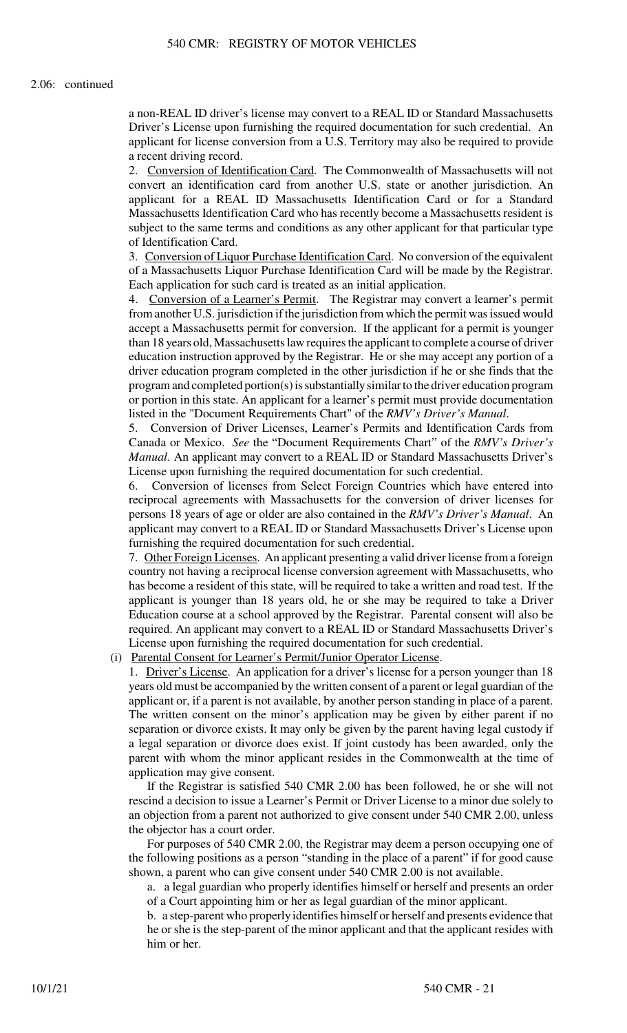a non-REAL ID driver's license may convert to a REAL ID or Standard Massachusetts Driver's License upon furnishing the required documentation for such credential. An applicant for license conversion from a U.S. Territory may also be required to provide a recent driving record.

2. Conversion of Identification Card. The Commonwealth of Massachusetts will not convert an identification card from another U.S. state or another jurisdiction. An applicant for a REAL ID Massachusetts Identification Card or for a Standard Massachusetts Identification Card who has recently become a Massachusetts resident is subject to the same terms and conditions as any other applicant for that particular type of Identification Card.

3. Conversion of Liquor Purchase Identification Card. No conversion of the equivalent of a Massachusetts Liquor Purchase Identification Card will be made by the Registrar. Each application for such card is treated as an initial application.

4. Conversion of a Learner's Permit. The Registrar may convert a learner's permit from another U.S. jurisdiction if the jurisdiction from which the permit was issued would accept a Massachusetts permit for conversion. If the applicant for a permit is younger than 18 years old, Massachusetts law requires the applicant to complete a course of driver education instruction approved by the Registrar. He or she may accept any portion of a driver education program completed in the other jurisdiction if he or she finds that the program and completed portion(s) is substantially similar to the driver education program or portion in this state. An applicant for a learner's permit must provide documentation listed in the "Document Requirements Chart" of the *RMV's Driver's Manual*.

5. Conversion of Driver Licenses, Learner's Permits and Identification Cards from Canada or Mexico. *See* the "Document Requirements Chart" of the *RMV's Driver's Manual*. An applicant may convert to a REAL ID or Standard Massachusetts Driver's License upon furnishing the required documentation for such credential.

6. Conversion of licenses from Select Foreign Countries which have entered into reciprocal agreements with Massachusetts for the conversion of driver licenses for persons 18 years of age or older are also contained in the *RMV's Driver's Manual*. An applicant may convert to a REAL ID or Standard Massachusetts Driver's License upon furnishing the required documentation for such credential.

7. Other Foreign Licenses. An applicant presenting a valid driver license from a foreign country not having a reciprocal license conversion agreement with Massachusetts, who has become a resident of this state, will be required to take a written and road test. If the applicant is younger than 18 years old, he or she may be required to take a Driver Education course at a school approved by the Registrar. Parental consent will also be required. An applicant may convert to a REAL ID or Standard Massachusetts Driver's License upon furnishing the required documentation for such credential.

(i) Parental Consent for Learner's Permit/Junior Operator License.

1. Driver's License. An application for a driver's license for a person younger than 18 years old must be accompanied by the written consent of a parent or legal guardian of the applicant or, if a parent is not available, by another person standing in place of a parent. The written consent on the minor's application may be given by either parent if no separation or divorce exists. It may only be given by the parent having legal custody if a legal separation or divorce does exist. If joint custody has been awarded, only the parent with whom the minor applicant resides in the Commonwealth at the time of application may give consent.

If the Registrar is satisfied 540 CMR 2.00 has been followed, he or she will not rescind a decision to issue a Learner's Permit or Driver License to a minor due solely to an objection from a parent not authorized to give consent under 540 CMR 2.00, unless the objector has a court order.

For purposes of 540 CMR 2.00, the Registrar may deem a person occupying one of the following positions as a person "standing in the place of a parent" if for good cause shown, a parent who can give consent under 540 CMR 2.00 is not available.

a. a legal guardian who properly identifies himself or herself and presents an order of a Court appointing him or her as legal guardian of the minor applicant.

b. a step-parent who properly identifies himself or herself and presents evidence that he or she is the step-parent of the minor applicant and that the applicant resides with him or her.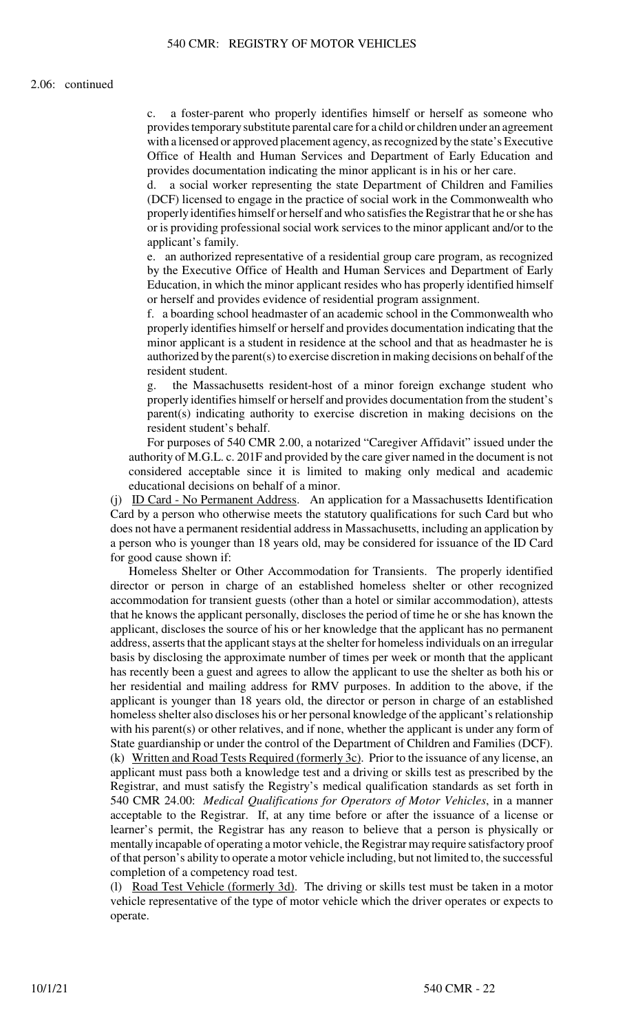a foster-parent who properly identifies himself or herself as someone who provides temporary substitute parental care for a child or children under an agreement with a licensed or approved placement agency, as recognized by the state's Executive Office of Health and Human Services and Department of Early Education and provides documentation indicating the minor applicant is in his or her care.

d. a social worker representing the state Department of Children and Families (DCF) licensed to engage in the practice of social work in the Commonwealth who properly identifies himself or herself and who satisfies the Registrar that he or she has or is providing professional social work services to the minor applicant and/or to the applicant's family.

e. an authorized representative of a residential group care program, as recognized by the Executive Office of Health and Human Services and Department of Early Education, in which the minor applicant resides who has properly identified himself or herself and provides evidence of residential program assignment.

f. a boarding school headmaster of an academic school in the Commonwealth who properly identifies himself or herself and provides documentation indicating that the minor applicant is a student in residence at the school and that as headmaster he is authorized by the parent(s) to exercise discretion in making decisions on behalf of the resident student.

g. the Massachusetts resident-host of a minor foreign exchange student who properly identifies himself or herself and provides documentation from the student's parent(s) indicating authority to exercise discretion in making decisions on the resident student's behalf.

For purposes of 540 CMR 2.00, a notarized "Caregiver Affidavit" issued under the authority of M.G.L. c. 201F and provided by the care giver named in the document is not considered acceptable since it is limited to making only medical and academic educational decisions on behalf of a minor.

(j) ID Card - No Permanent Address. An application for a Massachusetts Identification Card by a person who otherwise meets the statutory qualifications for such Card but who does not have a permanent residential address in Massachusetts, including an application by a person who is younger than 18 years old, may be considered for issuance of the ID Card for good cause shown if:

Homeless Shelter or Other Accommodation for Transients. The properly identified director or person in charge of an established homeless shelter or other recognized accommodation for transient guests (other than a hotel or similar accommodation), attests that he knows the applicant personally, discloses the period of time he or she has known the applicant, discloses the source of his or her knowledge that the applicant has no permanent address, asserts that the applicant stays at the shelter for homeless individuals on an irregular basis by disclosing the approximate number of times per week or month that the applicant has recently been a guest and agrees to allow the applicant to use the shelter as both his or her residential and mailing address for RMV purposes. In addition to the above, if the applicant is younger than 18 years old, the director or person in charge of an established homeless shelter also discloses his or her personal knowledge of the applicant's relationship with his parent(s) or other relatives, and if none, whether the applicant is under any form of State guardianship or under the control of the Department of Children and Families (DCF). (k) Written and Road Tests Required (formerly 3c). Prior to the issuance of any license, an applicant must pass both a knowledge test and a driving or skills test as prescribed by the Registrar, and must satisfy the Registry's medical qualification standards as set forth in 540 CMR 24.00: *Medical Qualifications for Operators of Motor Vehicles*, in a manner acceptable to the Registrar. If, at any time before or after the issuance of a license or learner's permit, the Registrar has any reason to believe that a person is physically or mentally incapable of operating a motor vehicle, the Registrar may require satisfactory proof of that person's ability to operate a motor vehicle including, but not limited to, the successful completion of a competency road test.

(l) Road Test Vehicle (formerly 3d). The driving or skills test must be taken in a motor vehicle representative of the type of motor vehicle which the driver operates or expects to operate.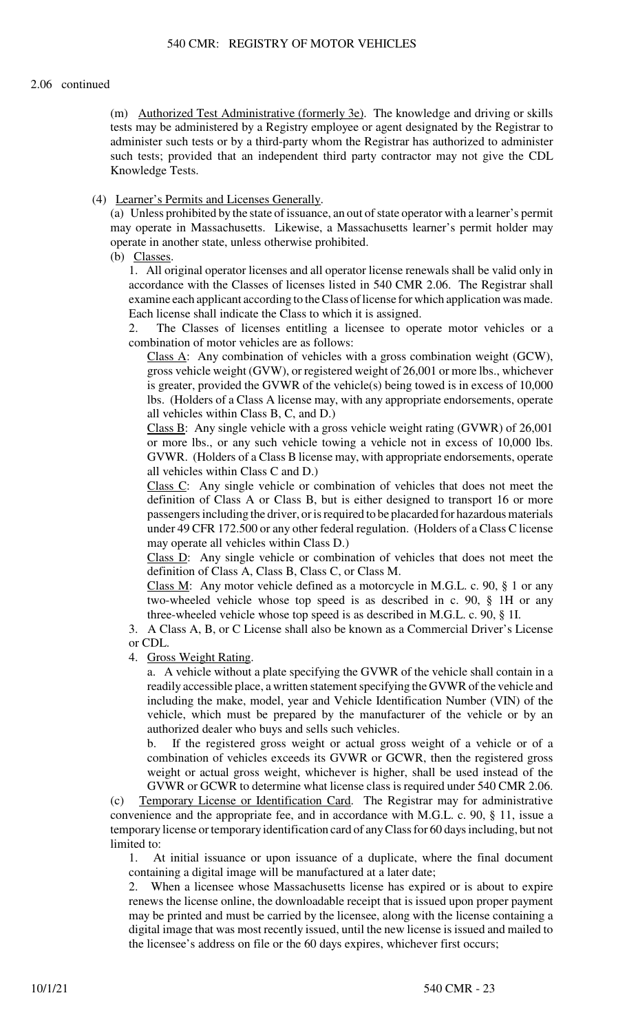## 2.06 continued

(m) Authorized Test Administrative (formerly 3e). The knowledge and driving or skills tests may be administered by a Registry employee or agent designated by the Registrar to administer such tests or by a third-party whom the Registrar has authorized to administer such tests; provided that an independent third party contractor may not give the CDL Knowledge Tests.

# (4) Learner's Permits and Licenses Generally.

(a) Unless prohibited by the state of issuance, an out of state operator with a learner's permit may operate in Massachusetts. Likewise, a Massachusetts learner's permit holder may operate in another state, unless otherwise prohibited.

(b) Classes.

1. All original operator licenses and all operator license renewals shall be valid only in accordance with the Classes of licenses listed in 540 CMR 2.06. The Registrar shall examine each applicant according to the Class of license for which application was made. Each license shall indicate the Class to which it is assigned.

2. The Classes of licenses entitling a licensee to operate motor vehicles or a combination of motor vehicles are as follows:

Class A: Any combination of vehicles with a gross combination weight (GCW), gross vehicle weight (GVW), or registered weight of 26,001 or more lbs., whichever is greater, provided the GVWR of the vehicle(s) being towed is in excess of  $10,000$ lbs. (Holders of a Class A license may, with any appropriate endorsements, operate all vehicles within Class B, C, and D.)

Class B: Any single vehicle with a gross vehicle weight rating (GVWR) of 26,001 or more lbs., or any such vehicle towing a vehicle not in excess of 10,000 lbs. GVWR. (Holders of a Class B license may, with appropriate endorsements, operate all vehicles within Class C and D.)

Class C: Any single vehicle or combination of vehicles that does not meet the definition of Class A or Class B, but is either designed to transport 16 or more passengers including the driver, or is required to be placarded for hazardous materials under 49 CFR 172.500 or any other federal regulation. (Holders of a Class C license may operate all vehicles within Class D.)

Class D: Any single vehicle or combination of vehicles that does not meet the definition of Class A, Class B, Class C, or Class M.

Class M: Any motor vehicle defined as a motorcycle in M.G.L. c. 90, § 1 or any two-wheeled vehicle whose top speed is as described in c. 90, § 1H or any three-wheeled vehicle whose top speed is as described in M.G.L. c. 90, § 1I.

3. A Class A, B, or C License shall also be known as a Commercial Driver's License or CDL.

4. Gross Weight Rating.

a. A vehicle without a plate specifying the GVWR of the vehicle shall contain in a readily accessible place, a written statement specifying the GVWR of the vehicle and including the make, model, year and Vehicle Identification Number (VIN) of the vehicle, which must be prepared by the manufacturer of the vehicle or by an authorized dealer who buys and sells such vehicles.

b. If the registered gross weight or actual gross weight of a vehicle or of a combination of vehicles exceeds its GVWR or GCWR, then the registered gross weight or actual gross weight, whichever is higher, shall be used instead of the GVWR or GCWR to determine what license class is required under 540 CMR 2.06.

(c) Temporary License or Identification Card. The Registrar may for administrative convenience and the appropriate fee, and in accordance with M.G.L. c. 90, § 11, issue a temporary license or temporary identification card of any Class for 60 days including, but not limited to:

1. At initial issuance or upon issuance of a duplicate, where the final document containing a digital image will be manufactured at a later date;

2. When a licensee whose Massachusetts license has expired or is about to expire renews the license online, the downloadable receipt that is issued upon proper payment may be printed and must be carried by the licensee, along with the license containing a digital image that was most recently issued, until the new license is issued and mailed to the licensee's address on file or the 60 days expires, whichever first occurs;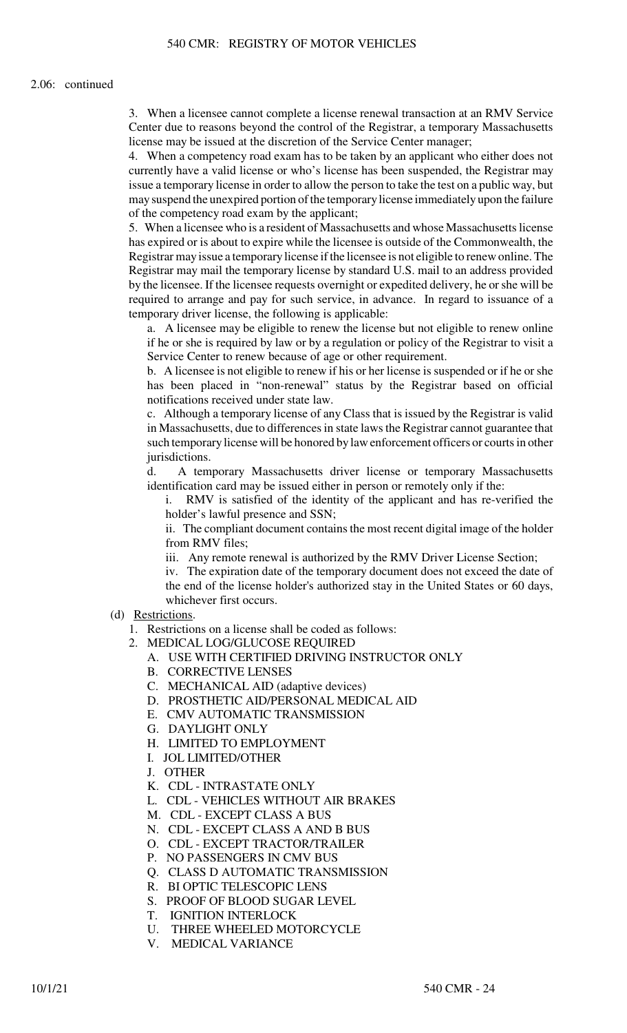#### 2.06: continued

3. When a licensee cannot complete a license renewal transaction at an RMV Service Center due to reasons beyond the control of the Registrar, a temporary Massachusetts license may be issued at the discretion of the Service Center manager;

4. When a competency road exam has to be taken by an applicant who either does not currently have a valid license or who's license has been suspended, the Registrar may issue a temporary license in order to allow the person to take the test on a public way, but may suspend the unexpired portion of the temporary license immediately upon the failure of the competency road exam by the applicant;

5. When a licensee who is a resident of Massachusetts and whose Massachusetts license has expired or is about to expire while the licensee is outside of the Commonwealth, the Registrar may issue a temporary license if the licensee is not eligible to renew online. The Registrar may mail the temporary license by standard U.S. mail to an address provided by the licensee. If the licensee requests overnight or expedited delivery, he or she will be required to arrange and pay for such service, in advance. In regard to issuance of a temporary driver license, the following is applicable:

a. A licensee may be eligible to renew the license but not eligible to renew online if he or she is required by law or by a regulation or policy of the Registrar to visit a Service Center to renew because of age or other requirement.

b. A licensee is not eligible to renew if his or her license is suspended or if he or she has been placed in "non-renewal" status by the Registrar based on official notifications received under state law.

c. Although a temporary license of any Class that is issued by the Registrar is valid in Massachusetts, due to differences in state laws the Registrar cannot guarantee that such temporary license will be honored by law enforcement officers or courts in other jurisdictions.

d. A temporary Massachusetts driver license or temporary Massachusetts identification card may be issued either in person or remotely only if the:

i. RMV is satisfied of the identity of the applicant and has re-verified the holder's lawful presence and SSN;

ii. The compliant document contains the most recent digital image of the holder from RMV files;

iii. Any remote renewal is authorized by the RMV Driver License Section;

iv. The expiration date of the temporary document does not exceed the date of the end of the license holder's authorized stay in the United States or 60 days, whichever first occurs.

- (d) Restrictions.
	- 1. Restrictions on a license shall be coded as follows:
	- 2. MEDICAL LOG/GLUCOSE REQUIRED
		- A. USE WITH CERTIFIED DRIVING INSTRUCTOR ONLY
		- B. CORRECTIVE LENSES
		- C. MECHANICAL AID (adaptive devices)
		- D. PROSTHETIC AID/PERSONAL MEDICAL AID
		- E. CMV AUTOMATIC TRANSMISSION
		- G. DAYLIGHT ONLY
		- H. LIMITED TO EMPLOYMENT
		- I. JOL LIMITED/OTHER
		- J. OTHER
		- K. CDL INTRASTATE ONLY
		- L. CDL VEHICLES WITHOUT AIR BRAKES
		- M. CDL EXCEPT CLASS A BUS
		- N. CDL EXCEPT CLASS A AND B BUS
		- O. CDL EXCEPT TRACTOR/TRAILER
		- P. NO PASSENGERS IN CMV BUS
		- Q. CLASS D AUTOMATIC TRANSMISSION
		- R. BI OPTIC TELESCOPIC LENS
		- S. PROOF OF BLOOD SUGAR LEVEL
		- T. IGNITION INTERLOCK
		- U. THREE WHEELED MOTORCYCLE
		- V. MEDICAL VARIANCE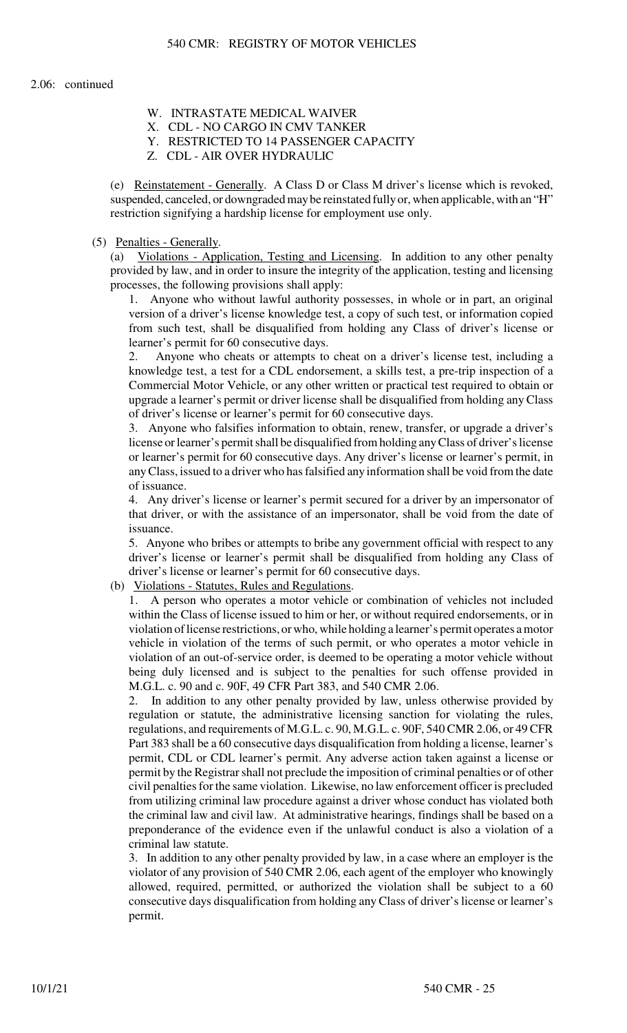- W. INTRASTATE MEDICAL WAIVER
- X. CDL NO CARGO IN CMV TANKER
- Y. RESTRICTED TO 14 PASSENGER CAPACITY
- Z. CDL AIR OVER HYDRAULIC

(e) Reinstatement - Generally. A Class D or Class M driver's license which is revoked, suspended, canceled, or downgraded may be reinstated fully or, when applicable, with an "H" restriction signifying a hardship license for employment use only.

## (5) Penalties - Generally.

(a) Violations - Application, Testing and Licensing. In addition to any other penalty provided by law, and in order to insure the integrity of the application, testing and licensing processes, the following provisions shall apply:

1. Anyone who without lawful authority possesses, in whole or in part, an original version of a driver's license knowledge test, a copy of such test, or information copied from such test, shall be disqualified from holding any Class of driver's license or learner's permit for 60 consecutive days.

2. Anyone who cheats or attempts to cheat on a driver's license test, including a knowledge test, a test for a CDL endorsement, a skills test, a pre-trip inspection of a Commercial Motor Vehicle, or any other written or practical test required to obtain or upgrade a learner's permit or driver license shall be disqualified from holding any Class of driver's license or learner's permit for 60 consecutive days.

3. Anyone who falsifies information to obtain, renew, transfer, or upgrade a driver's license or learner's permit shall be disqualified from holding any Class of driver's license or learner's permit for 60 consecutive days. Any driver's license or learner's permit, in any Class, issued to a driver who has falsified any information shall be void from the date of issuance.

4. Any driver's license or learner's permit secured for a driver by an impersonator of that driver, or with the assistance of an impersonator, shall be void from the date of issuance.

5. Anyone who bribes or attempts to bribe any government official with respect to any driver's license or learner's permit shall be disqualified from holding any Class of driver's license or learner's permit for 60 consecutive days.

(b) Violations - Statutes, Rules and Regulations.

1. A person who operates a motor vehicle or combination of vehicles not included within the Class of license issued to him or her, or without required endorsements, or in violation of license restrictions, or who, while holding a learner's permit operates a motor vehicle in violation of the terms of such permit, or who operates a motor vehicle in violation of an out-of-service order, is deemed to be operating a motor vehicle without being duly licensed and is subject to the penalties for such offense provided in M.G.L. c. 90 and c. 90F, 49 CFR Part 383, and 540 CMR 2.06.

2. In addition to any other penalty provided by law, unless otherwise provided by regulation or statute, the administrative licensing sanction for violating the rules, regulations, and requirements of M.G.L. c. 90, M.G.L. c. 90F, 540 CMR 2.06, or 49 CFR Part 383 shall be a 60 consecutive days disqualification from holding a license, learner's permit, CDL or CDL learner's permit. Any adverse action taken against a license or permit by the Registrar shall not preclude the imposition of criminal penalties or of other civil penalties for the same violation. Likewise, no law enforcement officer is precluded from utilizing criminal law procedure against a driver whose conduct has violated both the criminal law and civil law. At administrative hearings, findings shall be based on a preponderance of the evidence even if the unlawful conduct is also a violation of a criminal law statute.

3. In addition to any other penalty provided by law, in a case where an employer is the violator of any provision of 540 CMR 2.06, each agent of the employer who knowingly allowed, required, permitted, or authorized the violation shall be subject to a 60 consecutive days disqualification from holding any Class of driver's license or learner's permit.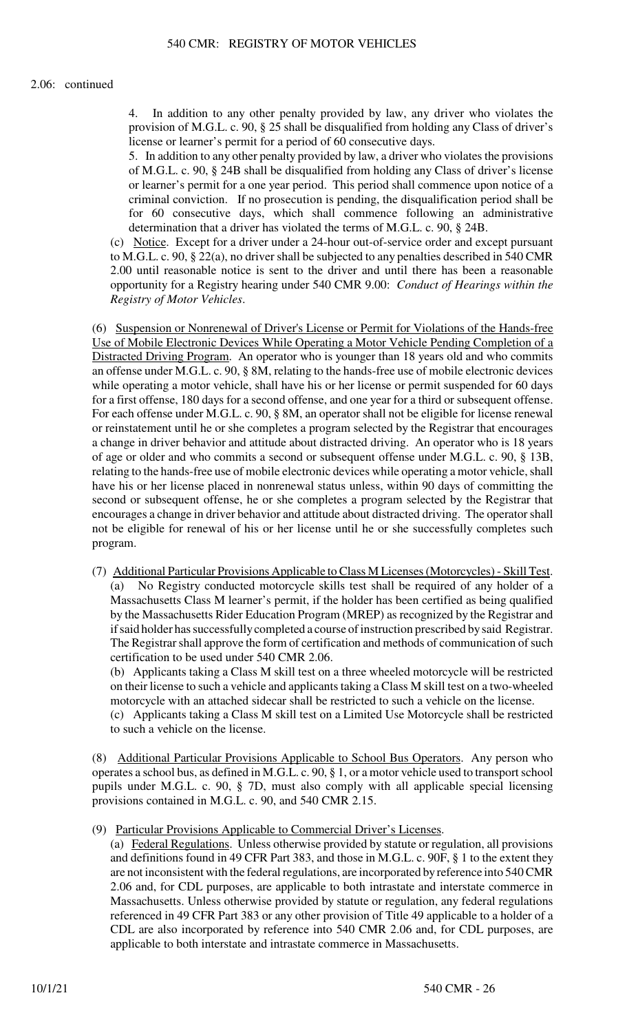## 2.06: continued

In addition to any other penalty provided by law, any driver who violates the provision of M.G.L. c. 90, § 25 shall be disqualified from holding any Class of driver's license or learner's permit for a period of 60 consecutive days.

5. In addition to any other penalty provided by law, a driver who violates the provisions of M.G.L. c. 90, § 24B shall be disqualified from holding any Class of driver's license or learner's permit for a one year period. This period shall commence upon notice of a criminal conviction. If no prosecution is pending, the disqualification period shall be for 60 consecutive days, which shall commence following an administrative determination that a driver has violated the terms of M.G.L. c. 90, § 24B.

(c) Notice. Except for a driver under a 24-hour out-of-service order and except pursuant to M.G.L. c. 90, § 22(a), no driver shall be subjected to any penalties described in 540 CMR 2.00 until reasonable notice is sent to the driver and until there has been a reasonable opportunity for a Registry hearing under 540 CMR 9.00: *Conduct of Hearings within the Registry of Motor Vehicles*.

(6) Suspension or Nonrenewal of Driver's License or Permit for Violations of the Hands-free Use of Mobile Electronic Devices While Operating a Motor Vehicle Pending Completion of a Distracted Driving Program. An operator who is younger than 18 years old and who commits an offense under M.G.L. c. 90, § 8M, relating to the hands-free use of mobile electronic devices while operating a motor vehicle, shall have his or her license or permit suspended for 60 days for a first offense, 180 days for a second offense, and one year for a third or subsequent offense. For each offense under M.G.L. c. 90, § 8M, an operator shall not be eligible for license renewal or reinstatement until he or she completes a program selected by the Registrar that encourages a change in driver behavior and attitude about distracted driving. An operator who is 18 years of age or older and who commits a second or subsequent offense under M.G.L. c. 90, § 13B, relating to the hands-free use of mobile electronic devices while operating a motor vehicle, shall have his or her license placed in nonrenewal status unless, within 90 days of committing the second or subsequent offense, he or she completes a program selected by the Registrar that encourages a change in driver behavior and attitude about distracted driving. The operator shall not be eligible for renewal of his or her license until he or she successfully completes such program.

(7) Additional Particular Provisions Applicable to Class M Licenses (Motorcycles) - Skill Test. (a) No Registry conducted motorcycle skills test shall be required of any holder of a Massachusetts Class M learner's permit, if the holder has been certified as being qualified by the Massachusetts Rider Education Program (MREP) as recognized by the Registrar and if said holder has successfully completed a course of instruction prescribed by said Registrar. The Registrar shall approve the form of certification and methods of communication of such certification to be used under 540 CMR 2.06.

(b) Applicants taking a Class M skill test on a three wheeled motorcycle will be restricted on their license to such a vehicle and applicants taking a Class M skill test on a two-wheeled motorcycle with an attached sidecar shall be restricted to such a vehicle on the license.

(c) Applicants taking a Class M skill test on a Limited Use Motorcycle shall be restricted to such a vehicle on the license.

(8) Additional Particular Provisions Applicable to School Bus Operators. Any person who operates a school bus, as defined in M.G.L. c. 90, § 1, or a motor vehicle used to transport school pupils under M.G.L. c. 90, § 7D, must also comply with all applicable special licensing provisions contained in M.G.L. c. 90, and 540 CMR 2.15.

(9) Particular Provisions Applicable to Commercial Driver's Licenses.

(a) Federal Regulations. Unless otherwise provided by statute or regulation, all provisions and definitions found in 49 CFR Part 383, and those in M.G.L. c. 90F, § 1 to the extent they are not inconsistent with the federal regulations, are incorporated by reference into 540 CMR 2.06 and, for CDL purposes, are applicable to both intrastate and interstate commerce in Massachusetts. Unless otherwise provided by statute or regulation, any federal regulations referenced in 49 CFR Part 383 or any other provision of Title 49 applicable to a holder of a CDL are also incorporated by reference into 540 CMR 2.06 and, for CDL purposes, are applicable to both interstate and intrastate commerce in Massachusetts.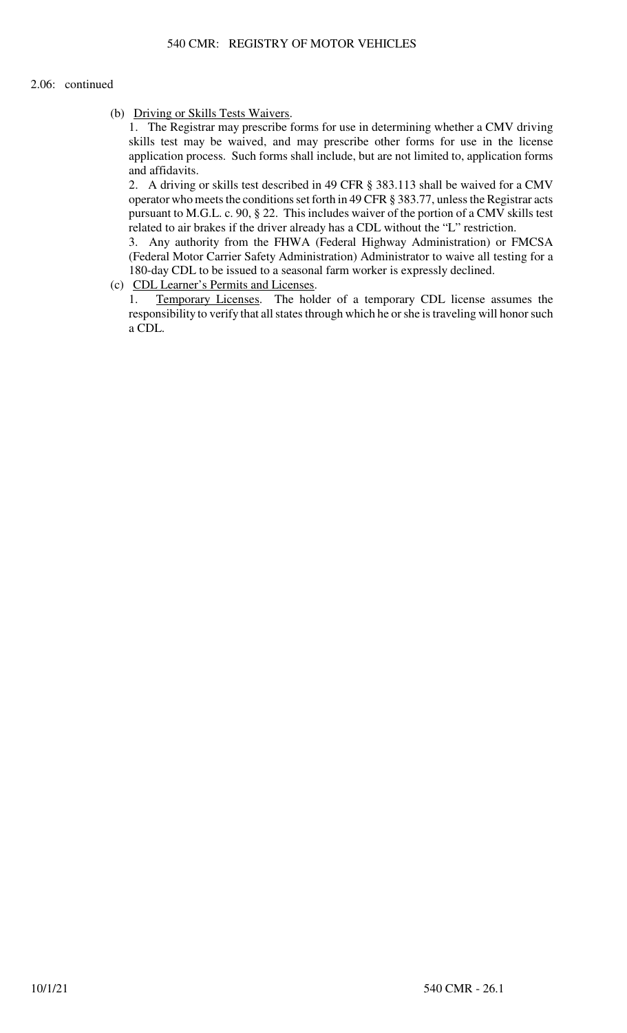## 2.06: continued

(b) Driving or Skills Tests Waivers.

1. The Registrar may prescribe forms for use in determining whether a CMV driving skills test may be waived, and may prescribe other forms for use in the license application process. Such forms shall include, but are not limited to, application forms and affidavits.

2. A driving or skills test described in 49 CFR § 383.113 shall be waived for a CMV operator who meets the conditions set forth in 49 CFR § 383.77, unless the Registrar acts pursuant to M.G.L. c. 90, § 22. This includes waiver of the portion of a CMV skills test related to air brakes if the driver already has a CDL without the "L" restriction.

3. Any authority from the FHWA (Federal Highway Administration) or FMCSA (Federal Motor Carrier Safety Administration) Administrator to waive all testing for a 180-day CDL to be issued to a seasonal farm worker is expressly declined.

(c) CDL Learner's Permits and Licenses.

1. Temporary Licenses. The holder of a temporary CDL license assumes the responsibility to verify that all states through which he or she is traveling will honor such a CDL.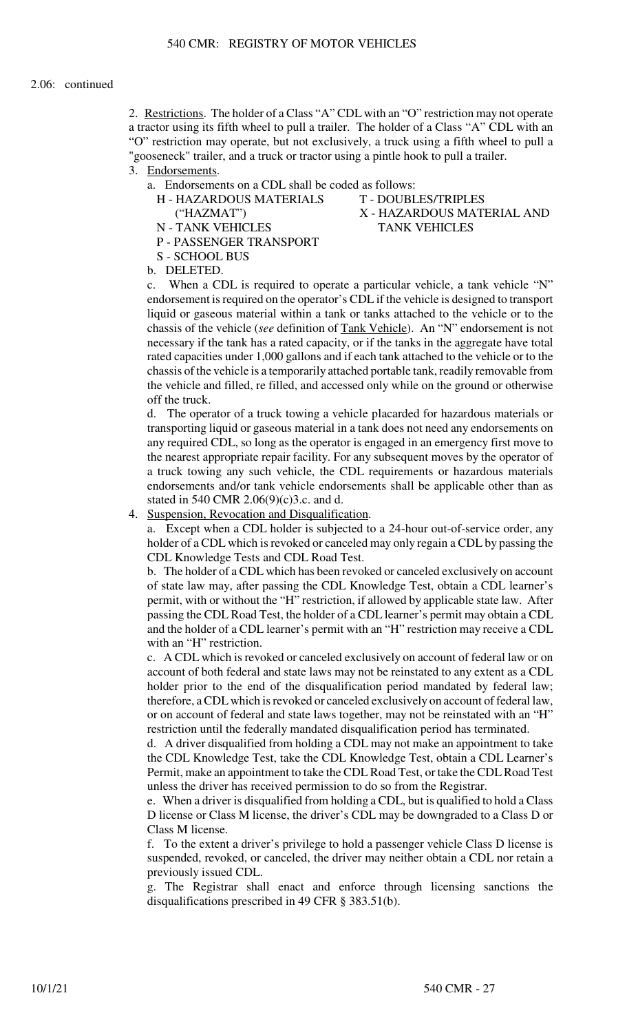2. Restrictions. The holder of a Class "A" CDL with an "O" restriction may not operate a tractor using its fifth wheel to pull a trailer. The holder of a Class "A" CDL with an "O" restriction may operate, but not exclusively, a truck using a fifth wheel to pull a "gooseneck" trailer, and a truck or tractor using a pintle hook to pull a trailer.

- 3. Endorsements.
	- a. Endorsements on a CDL shall be coded as follows:
		-
		-

S - SCHOOL BUS

- P PASSENGER TRANSPORT
- H HAZARDOUS MATERIALS T DOUBLES/TRIPLES ("HAZMAT") X - HAZARDOUS MATERIAL AND N - TANK VEHICLES TANK VEHICLES
- b. DELETED.

c. When a CDL is required to operate a particular vehicle, a tank vehicle "N" endorsement is required on the operator's CDL if the vehicle is designed to transport liquid or gaseous material within a tank or tanks attached to the vehicle or to the chassis of the vehicle (*see* definition of Tank Vehicle). An "N" endorsement is not necessary if the tank has a rated capacity, or if the tanks in the aggregate have total rated capacities under 1,000 gallons and if each tank attached to the vehicle or to the chassis of the vehicle is a temporarily attached portable tank, readily removable from the vehicle and filled, re filled, and accessed only while on the ground or otherwise off the truck.

d. The operator of a truck towing a vehicle placarded for hazardous materials or transporting liquid or gaseous material in a tank does not need any endorsements on any required CDL, so long as the operator is engaged in an emergency first move to the nearest appropriate repair facility. For any subsequent moves by the operator of a truck towing any such vehicle, the CDL requirements or hazardous materials endorsements and/or tank vehicle endorsements shall be applicable other than as stated in 540 CMR 2.06(9)(c)3.c. and d.

4. Suspension, Revocation and Disqualification.

a. Except when a CDL holder is subjected to a 24-hour out-of-service order, any holder of a CDL which is revoked or canceled may only regain a CDL by passing the CDL Knowledge Tests and CDL Road Test.

b. The holder of a CDL which has been revoked or canceled exclusively on account of state law may, after passing the CDL Knowledge Test, obtain a CDL learner's permit, with or without the "H" restriction, if allowed by applicable state law. After passing the CDL Road Test, the holder of a CDL learner's permit may obtain a CDL and the holder of a CDL learner's permit with an "H" restriction may receive a CDL with an "H" restriction.

c. A CDL which is revoked or canceled exclusively on account of federal law or on account of both federal and state laws may not be reinstated to any extent as a CDL holder prior to the end of the disqualification period mandated by federal law; therefore, a CDL which is revoked or canceled exclusively on account of federal law, or on account of federal and state laws together, may not be reinstated with an "H" restriction until the federally mandated disqualification period has terminated.

d. A driver disqualified from holding a CDL may not make an appointment to take the CDL Knowledge Test, take the CDL Knowledge Test, obtain a CDL Learner's Permit, make an appointment to take the CDL Road Test, or take the CDL Road Test unless the driver has received permission to do so from the Registrar.

e. When a driver is disqualified from holding a CDL, but is qualified to hold a Class D license or Class M license, the driver's CDL may be downgraded to a Class D or Class M license.

f. To the extent a driver's privilege to hold a passenger vehicle Class D license is suspended, revoked, or canceled, the driver may neither obtain a CDL nor retain a previously issued CDL.

g. The Registrar shall enact and enforce through licensing sanctions the disqualifications prescribed in 49 CFR § 383.51(b).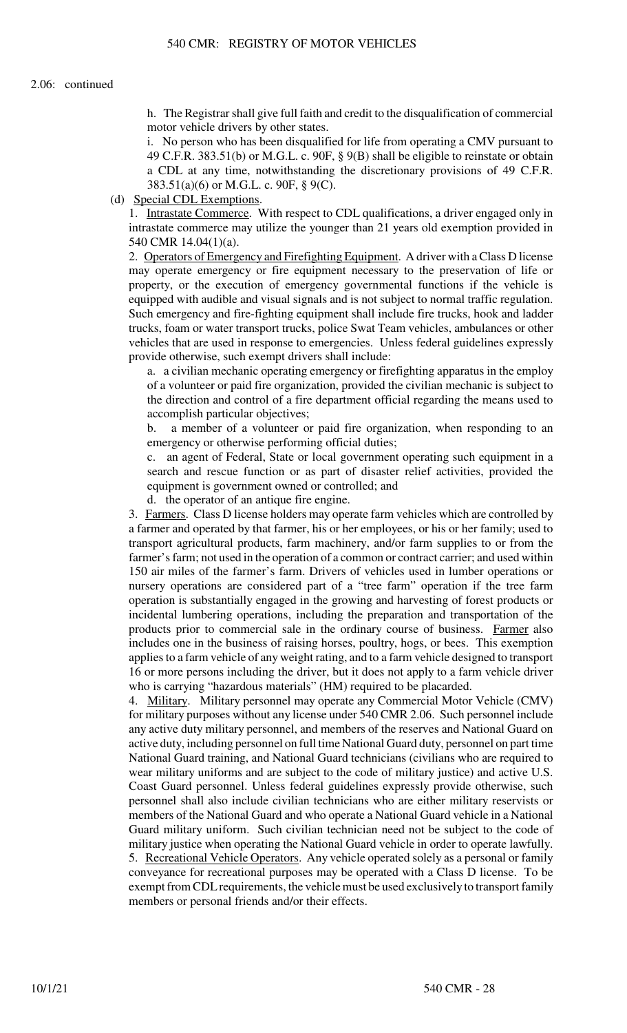h. The Registrar shall give full faith and credit to the disqualification of commercial motor vehicle drivers by other states.

i. No person who has been disqualified for life from operating a CMV pursuant to 49 C.F.R. 383.51(b) or M.G.L. c. 90F, § 9(B) shall be eligible to reinstate or obtain a CDL at any time, notwithstanding the discretionary provisions of 49 C.F.R. 383.51(a)(6) or M.G.L. c. 90F, § 9(C).

(d) Special CDL Exemptions.

1. Intrastate Commerce. With respect to CDL qualifications, a driver engaged only in intrastate commerce may utilize the younger than 21 years old exemption provided in 540 CMR 14.04(1)(a).

2. Operators of Emergency and Firefighting Equipment. A driver with a Class D license may operate emergency or fire equipment necessary to the preservation of life or property, or the execution of emergency governmental functions if the vehicle is equipped with audible and visual signals and is not subject to normal traffic regulation. Such emergency and fire-fighting equipment shall include fire trucks, hook and ladder trucks, foam or water transport trucks, police Swat Team vehicles, ambulances or other vehicles that are used in response to emergencies. Unless federal guidelines expressly provide otherwise, such exempt drivers shall include:

a. a civilian mechanic operating emergency or firefighting apparatus in the employ of a volunteer or paid fire organization, provided the civilian mechanic is subject to the direction and control of a fire department official regarding the means used to accomplish particular objectives;

b. a member of a volunteer or paid fire organization, when responding to an emergency or otherwise performing official duties;

c. an agent of Federal, State or local government operating such equipment in a search and rescue function or as part of disaster relief activities, provided the equipment is government owned or controlled; and

d. the operator of an antique fire engine.

3. Farmers. Class D license holders may operate farm vehicles which are controlled by a farmer and operated by that farmer, his or her employees, or his or her family; used to transport agricultural products, farm machinery, and/or farm supplies to or from the farmer's farm; not used in the operation of a common or contract carrier; and used within 150 air miles of the farmer's farm. Drivers of vehicles used in lumber operations or nursery operations are considered part of a "tree farm" operation if the tree farm operation is substantially engaged in the growing and harvesting of forest products or incidental lumbering operations, including the preparation and transportation of the products prior to commercial sale in the ordinary course of business. Farmer also includes one in the business of raising horses, poultry, hogs, or bees. This exemption applies to a farm vehicle of any weight rating, and to a farm vehicle designed to transport 16 or more persons including the driver, but it does not apply to a farm vehicle driver who is carrying "hazardous materials" (HM) required to be placarded.

4. Military. Military personnel may operate any Commercial Motor Vehicle (CMV) for military purposes without any license under 540 CMR 2.06. Such personnel include any active duty military personnel, and members of the reserves and National Guard on active duty, including personnel on full time National Guard duty, personnel on part time National Guard training, and National Guard technicians (civilians who are required to wear military uniforms and are subject to the code of military justice) and active U.S. Coast Guard personnel. Unless federal guidelines expressly provide otherwise, such personnel shall also include civilian technicians who are either military reservists or members of the National Guard and who operate a National Guard vehicle in a National Guard military uniform. Such civilian technician need not be subject to the code of military justice when operating the National Guard vehicle in order to operate lawfully. 5. Recreational Vehicle Operators. Any vehicle operated solely as a personal or family conveyance for recreational purposes may be operated with a Class D license. To be exempt from CDL requirements, the vehicle must be used exclusively to transport family members or personal friends and/or their effects.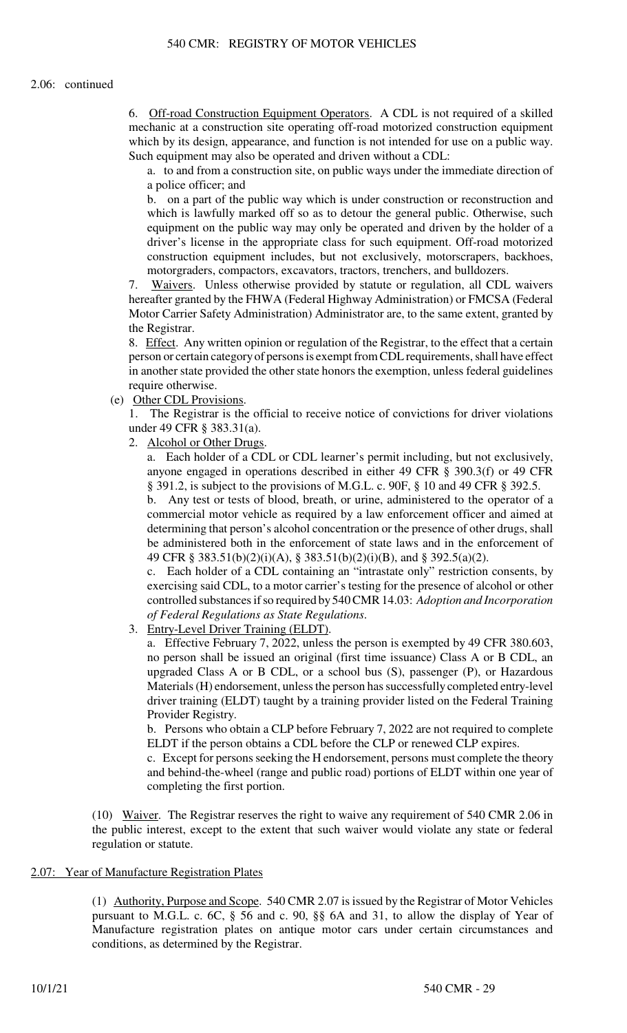6. Off-road Construction Equipment Operators. A CDL is not required of a skilled mechanic at a construction site operating off-road motorized construction equipment which by its design, appearance, and function is not intended for use on a public way. Such equipment may also be operated and driven without a CDL:

a. to and from a construction site, on public ways under the immediate direction of a police officer; and

b. on a part of the public way which is under construction or reconstruction and which is lawfully marked off so as to detour the general public. Otherwise, such equipment on the public way may only be operated and driven by the holder of a driver's license in the appropriate class for such equipment. Off-road motorized construction equipment includes, but not exclusively, motorscrapers, backhoes, motorgraders, compactors, excavators, tractors, trenchers, and bulldozers.

7. Waivers. Unless otherwise provided by statute or regulation, all CDL waivers hereafter granted by the FHWA (Federal Highway Administration) or FMCSA (Federal Motor Carrier Safety Administration) Administrator are, to the same extent, granted by the Registrar.

8. Effect. Any written opinion or regulation of the Registrar, to the effect that a certain person or certain category of persons is exempt from CDL requirements, shall have effect in another state provided the other state honors the exemption, unless federal guidelines require otherwise.

(e) Other CDL Provisions.

1. The Registrar is the official to receive notice of convictions for driver violations under 49 CFR § 383.31(a).

2. Alcohol or Other Drugs.

a. Each holder of a CDL or CDL learner's permit including, but not exclusively, anyone engaged in operations described in either 49 CFR § 390.3(f) or 49 CFR § 391.2, is subject to the provisions of M.G.L. c. 90F, § 10 and 49 CFR § 392.5.

b. Any test or tests of blood, breath, or urine, administered to the operator of a commercial motor vehicle as required by a law enforcement officer and aimed at determining that person's alcohol concentration or the presence of other drugs, shall be administered both in the enforcement of state laws and in the enforcement of 49 CFR § 383.51(b)(2)(i)(A), § 383.51(b)(2)(i)(B), and § 392.5(a)(2).

c. Each holder of a CDL containing an "intrastate only" restriction consents, by exercising said CDL, to a motor carrier's testing for the presence of alcohol or other controlled substances if so required by 540 CMR 14.03: *Adoption and Incorporation of Federal Regulations as State Regulations*.

3. Entry-Level Driver Training (ELDT).

a. Effective February 7, 2022, unless the person is exempted by 49 CFR 380.603, no person shall be issued an original (first time issuance) Class A or B CDL, an upgraded Class A or B CDL, or a school bus (S), passenger (P), or Hazardous Materials (H) endorsement, unless the person has successfully completed entry-level driver training (ELDT) taught by a training provider listed on the Federal Training Provider Registry.

b. Persons who obtain a CLP before February 7, 2022 are not required to complete ELDT if the person obtains a CDL before the CLP or renewed CLP expires.

c. Except for persons seeking the H endorsement, persons must complete the theory and behind-the-wheel (range and public road) portions of ELDT within one year of completing the first portion.

(10) Waiver. The Registrar reserves the right to waive any requirement of 540 CMR 2.06 in the public interest, except to the extent that such waiver would violate any state or federal regulation or statute.

# 2.07: Year of Manufacture Registration Plates

(1) Authority, Purpose and Scope. 540 CMR 2.07 is issued by the Registrar of Motor Vehicles pursuant to M.G.L. c. 6C, § 56 and c. 90, §§ 6A and 31, to allow the display of Year of Manufacture registration plates on antique motor cars under certain circumstances and conditions, as determined by the Registrar.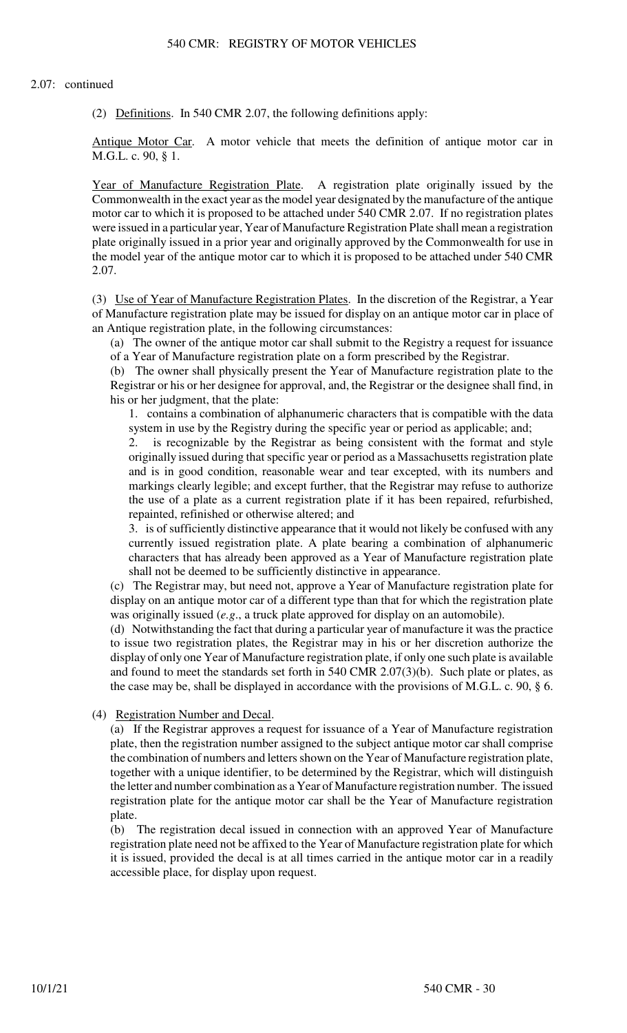(2) Definitions. In 540 CMR 2.07, the following definitions apply:

Antique Motor Car. A motor vehicle that meets the definition of antique motor car in M.G.L. c. 90, § 1.

Year of Manufacture Registration Plate. A registration plate originally issued by the Commonwealth in the exact year as the model year designated by the manufacture of the antique motor car to which it is proposed to be attached under 540 CMR 2.07. If no registration plates were issued in a particular year, Year of Manufacture Registration Plate shall mean a registration plate originally issued in a prior year and originally approved by the Commonwealth for use in the model year of the antique motor car to which it is proposed to be attached under 540 CMR 2.07.

(3) Use of Year of Manufacture Registration Plates. In the discretion of the Registrar, a Year of Manufacture registration plate may be issued for display on an antique motor car in place of an Antique registration plate, in the following circumstances:

(a) The owner of the antique motor car shall submit to the Registry a request for issuance of a Year of Manufacture registration plate on a form prescribed by the Registrar.

(b) The owner shall physically present the Year of Manufacture registration plate to the Registrar or his or her designee for approval, and, the Registrar or the designee shall find, in his or her judgment, that the plate:

1. contains a combination of alphanumeric characters that is compatible with the data system in use by the Registry during the specific year or period as applicable; and;

2. is recognizable by the Registrar as being consistent with the format and style originally issued during that specific year or period as a Massachusetts registration plate and is in good condition, reasonable wear and tear excepted, with its numbers and markings clearly legible; and except further, that the Registrar may refuse to authorize the use of a plate as a current registration plate if it has been repaired, refurbished, repainted, refinished or otherwise altered; and

3. is of sufficiently distinctive appearance that it would not likely be confused with any currently issued registration plate. A plate bearing a combination of alphanumeric characters that has already been approved as a Year of Manufacture registration plate shall not be deemed to be sufficiently distinctive in appearance.

(c) The Registrar may, but need not, approve a Year of Manufacture registration plate for display on an antique motor car of a different type than that for which the registration plate was originally issued (*e.g*., a truck plate approved for display on an automobile).

(d) Notwithstanding the fact that during a particular year of manufacture it was the practice to issue two registration plates, the Registrar may in his or her discretion authorize the display of only one Year of Manufacture registration plate, if only one such plate is available and found to meet the standards set forth in 540 CMR 2.07(3)(b). Such plate or plates, as the case may be, shall be displayed in accordance with the provisions of M.G.L. c. 90, § 6.

(4) Registration Number and Decal.

(a) If the Registrar approves a request for issuance of a Year of Manufacture registration plate, then the registration number assigned to the subject antique motor car shall comprise the combination of numbers and letters shown on the Year of Manufacture registration plate, together with a unique identifier, to be determined by the Registrar, which will distinguish the letter and number combination as a Year of Manufacture registration number. The issued registration plate for the antique motor car shall be the Year of Manufacture registration plate.

(b) The registration decal issued in connection with an approved Year of Manufacture registration plate need not be affixed to the Year of Manufacture registration plate for which it is issued, provided the decal is at all times carried in the antique motor car in a readily accessible place, for display upon request.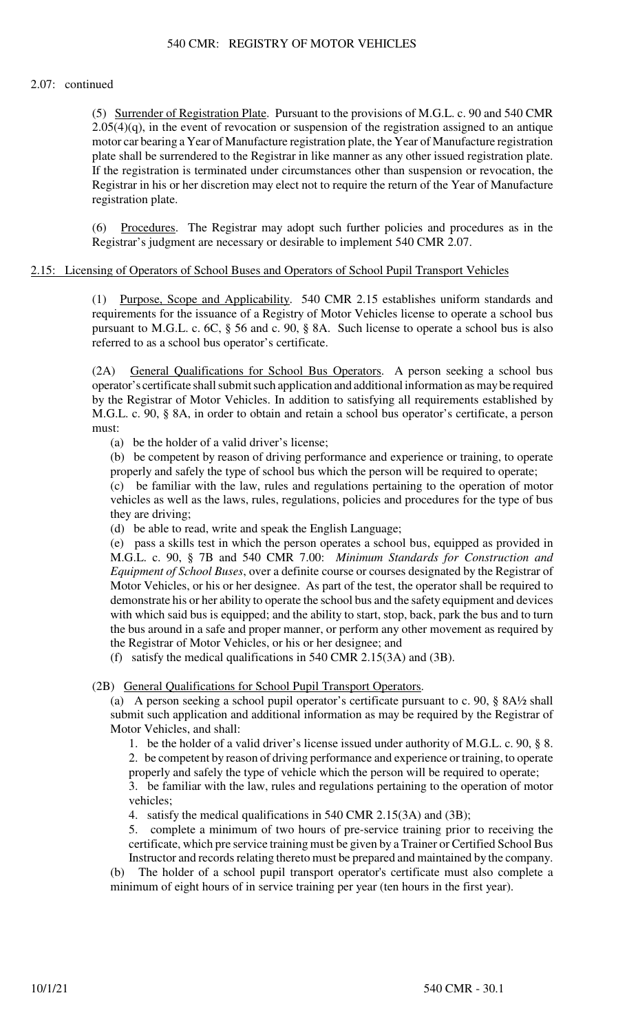## 2.07: continued

(5) Surrender of Registration Plate. Pursuant to the provisions of M.G.L. c. 90 and 540 CMR  $2.05(4)(q)$ , in the event of revocation or suspension of the registration assigned to an antique motor car bearing a Year of Manufacture registration plate, the Year of Manufacture registration plate shall be surrendered to the Registrar in like manner as any other issued registration plate. If the registration is terminated under circumstances other than suspension or revocation, the Registrar in his or her discretion may elect not to require the return of the Year of Manufacture registration plate.

(6) Procedures. The Registrar may adopt such further policies and procedures as in the Registrar's judgment are necessary or desirable to implement 540 CMR 2.07.

#### 2.15: Licensing of Operators of School Buses and Operators of School Pupil Transport Vehicles

(1) Purpose, Scope and Applicability. 540 CMR 2.15 establishes uniform standards and requirements for the issuance of a Registry of Motor Vehicles license to operate a school bus pursuant to M.G.L. c. 6C, § 56 and c. 90, § 8A. Such license to operate a school bus is also referred to as a school bus operator's certificate.

(2A) General Qualifications for School Bus Operators. A person seeking a school bus operator's certificate shall submit such application and additional information as may be required by the Registrar of Motor Vehicles. In addition to satisfying all requirements established by M.G.L. c. 90, § 8A, in order to obtain and retain a school bus operator's certificate, a person must:

(a) be the holder of a valid driver's license;

(b) be competent by reason of driving performance and experience or training, to operate properly and safely the type of school bus which the person will be required to operate;

(c) be familiar with the law, rules and regulations pertaining to the operation of motor vehicles as well as the laws, rules, regulations, policies and procedures for the type of bus they are driving;

(d) be able to read, write and speak the English Language;

(e) pass a skills test in which the person operates a school bus, equipped as provided in M.G.L. c. 90, § 7B and 540 CMR 7.00: *Minimum Standards for Construction and Equipment of School Buses*, over a definite course or courses designated by the Registrar of Motor Vehicles, or his or her designee. As part of the test, the operator shall be required to demonstrate his or her ability to operate the school bus and the safety equipment and devices with which said bus is equipped; and the ability to start, stop, back, park the bus and to turn the bus around in a safe and proper manner, or perform any other movement as required by the Registrar of Motor Vehicles, or his or her designee; and

(f) satisfy the medical qualifications in 540 CMR 2.15(3A) and (3B).

(2B) General Qualifications for School Pupil Transport Operators.

(a) A person seeking a school pupil operator's certificate pursuant to c. 90, § 8A½ shall submit such application and additional information as may be required by the Registrar of Motor Vehicles, and shall:

1. be the holder of a valid driver's license issued under authority of M.G.L. c. 90, § 8. 2. be competent by reason of driving performance and experience or training, to operate

properly and safely the type of vehicle which the person will be required to operate; 3. be familiar with the law, rules and regulations pertaining to the operation of motor vehicles;

4. satisfy the medical qualifications in 540 CMR 2.15(3A) and (3B);

5. complete a minimum of two hours of pre-service training prior to receiving the certificate, which pre service training must be given by a Trainer or Certified School Bus Instructor and records relating thereto must be prepared and maintained by the company.

(b) The holder of a school pupil transport operator's certificate must also complete a minimum of eight hours of in service training per year (ten hours in the first year).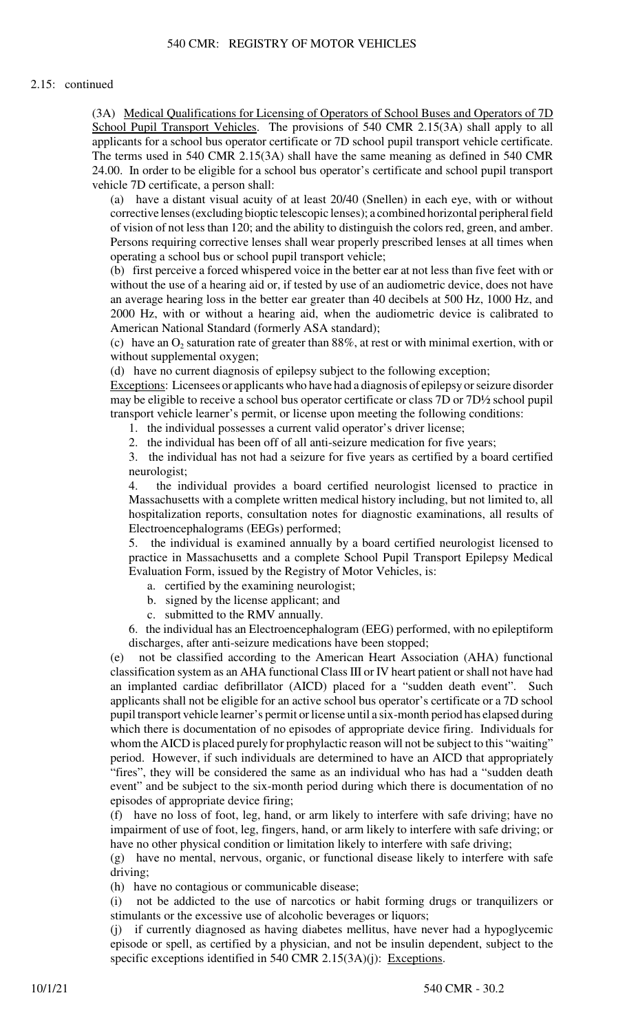## 2.15: continued

(3A) Medical Qualifications for Licensing of Operators of School Buses and Operators of 7D School Pupil Transport Vehicles. The provisions of 540 CMR 2.15(3A) shall apply to all applicants for a school bus operator certificate or 7D school pupil transport vehicle certificate. The terms used in 540 CMR 2.15(3A) shall have the same meaning as defined in 540 CMR 24.00. In order to be eligible for a school bus operator's certificate and school pupil transport vehicle 7D certificate, a person shall:

(a) have a distant visual acuity of at least 20/40 (Snellen) in each eye, with or without corrective lenses (excluding bioptic telescopic lenses); a combined horizontal peripheral field of vision of not less than 120; and the ability to distinguish the colors red, green, and amber. Persons requiring corrective lenses shall wear properly prescribed lenses at all times when operating a school bus or school pupil transport vehicle;

(b) first perceive a forced whispered voice in the better ear at not less than five feet with or without the use of a hearing aid or, if tested by use of an audiometric device, does not have an average hearing loss in the better ear greater than 40 decibels at 500 Hz, 1000 Hz, and 2000 Hz, with or without a hearing aid, when the audiometric device is calibrated to American National Standard (formerly ASA standard);

(c) have an  $O_2$  saturation rate of greater than 88%, at rest or with minimal exertion, with or without supplemental oxygen;

(d) have no current diagnosis of epilepsy subject to the following exception;

Exceptions: Licensees or applicants who have had a diagnosis of epilepsy or seizure disorder may be eligible to receive a school bus operator certificate or class 7D or 7D½ school pupil transport vehicle learner's permit, or license upon meeting the following conditions:

1. the individual possesses a current valid operator's driver license;

2. the individual has been off of all anti-seizure medication for five years;

3. the individual has not had a seizure for five years as certified by a board certified neurologist;

4. the individual provides a board certified neurologist licensed to practice in Massachusetts with a complete written medical history including, but not limited to, all hospitalization reports, consultation notes for diagnostic examinations, all results of Electroencephalograms (EEGs) performed;

5. the individual is examined annually by a board certified neurologist licensed to practice in Massachusetts and a complete School Pupil Transport Epilepsy Medical Evaluation Form, issued by the Registry of Motor Vehicles, is:

- a. certified by the examining neurologist;
- b. signed by the license applicant; and
- c. submitted to the RMV annually.

6. the individual has an Electroencephalogram (EEG) performed, with no epileptiform discharges, after anti-seizure medications have been stopped;

(e) not be classified according to the American Heart Association (AHA) functional classification system as an AHA functional Class III or IV heart patient or shall not have had an implanted cardiac defibrillator (AICD) placed for a "sudden death event". Such applicants shall not be eligible for an active school bus operator's certificate or a 7D school pupil transport vehicle learner's permit or license until a six-month period has elapsed during which there is documentation of no episodes of appropriate device firing. Individuals for whom the AICD is placed purely for prophylactic reason will not be subject to this "waiting" period. However, if such individuals are determined to have an AICD that appropriately "fires", they will be considered the same as an individual who has had a "sudden death event" and be subject to the six-month period during which there is documentation of no episodes of appropriate device firing;

(f) have no loss of foot, leg, hand, or arm likely to interfere with safe driving; have no impairment of use of foot, leg, fingers, hand, or arm likely to interfere with safe driving; or have no other physical condition or limitation likely to interfere with safe driving;

(g) have no mental, nervous, organic, or functional disease likely to interfere with safe driving;

(h) have no contagious or communicable disease;

(i) not be addicted to the use of narcotics or habit forming drugs or tranquilizers or stimulants or the excessive use of alcoholic beverages or liquors;

(j) if currently diagnosed as having diabetes mellitus, have never had a hypoglycemic episode or spell, as certified by a physician, and not be insulin dependent, subject to the specific exceptions identified in 540 CMR 2.15(3A)(j): Exceptions.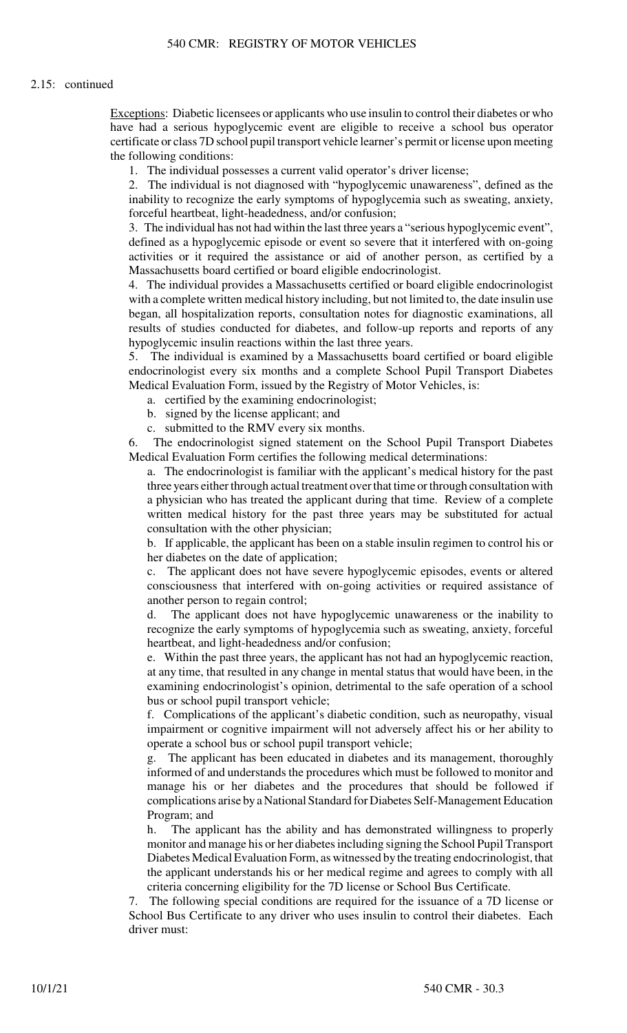#### 2.15: continued

Exceptions: Diabetic licensees or applicants who use insulin to control their diabetes or who have had a serious hypoglycemic event are eligible to receive a school bus operator certificate or class 7D school pupil transport vehicle learner's permit or license upon meeting the following conditions:

1. The individual possesses a current valid operator's driver license;

2. The individual is not diagnosed with "hypoglycemic unawareness", defined as the inability to recognize the early symptoms of hypoglycemia such as sweating, anxiety, forceful heartbeat, light-headedness, and/or confusion;

3. The individual has not had within the last three years a "serious hypoglycemic event", defined as a hypoglycemic episode or event so severe that it interfered with on-going activities or it required the assistance or aid of another person, as certified by a Massachusetts board certified or board eligible endocrinologist.

4. The individual provides a Massachusetts certified or board eligible endocrinologist with a complete written medical history including, but not limited to, the date insulin use began, all hospitalization reports, consultation notes for diagnostic examinations, all results of studies conducted for diabetes, and follow-up reports and reports of any hypoglycemic insulin reactions within the last three years.

5. The individual is examined by a Massachusetts board certified or board eligible endocrinologist every six months and a complete School Pupil Transport Diabetes Medical Evaluation Form, issued by the Registry of Motor Vehicles, is:

a. certified by the examining endocrinologist;

b. signed by the license applicant; and

c. submitted to the RMV every six months.

6. The endocrinologist signed statement on the School Pupil Transport Diabetes Medical Evaluation Form certifies the following medical determinations:

a. The endocrinologist is familiar with the applicant's medical history for the past three years either through actual treatment over that time or through consultation with a physician who has treated the applicant during that time. Review of a complete written medical history for the past three years may be substituted for actual consultation with the other physician;

b. If applicable, the applicant has been on a stable insulin regimen to control his or her diabetes on the date of application;

c. The applicant does not have severe hypoglycemic episodes, events or altered consciousness that interfered with on-going activities or required assistance of another person to regain control;

d. The applicant does not have hypoglycemic unawareness or the inability to recognize the early symptoms of hypoglycemia such as sweating, anxiety, forceful heartbeat, and light-headedness and/or confusion;

e. Within the past three years, the applicant has not had an hypoglycemic reaction, at any time, that resulted in any change in mental status that would have been, in the examining endocrinologist's opinion, detrimental to the safe operation of a school bus or school pupil transport vehicle;

f. Complications of the applicant's diabetic condition, such as neuropathy, visual impairment or cognitive impairment will not adversely affect his or her ability to operate a school bus or school pupil transport vehicle;

g. The applicant has been educated in diabetes and its management, thoroughly informed of and understands the procedures which must be followed to monitor and manage his or her diabetes and the procedures that should be followed if complications arise by a National Standard for Diabetes Self-Management Education Program; and

h. The applicant has the ability and has demonstrated willingness to properly monitor and manage his or her diabetes including signing the School Pupil Transport Diabetes Medical Evaluation Form, as witnessed by the treating endocrinologist, that the applicant understands his or her medical regime and agrees to comply with all criteria concerning eligibility for the 7D license or School Bus Certificate.

7. The following special conditions are required for the issuance of a 7D license or School Bus Certificate to any driver who uses insulin to control their diabetes. Each driver must: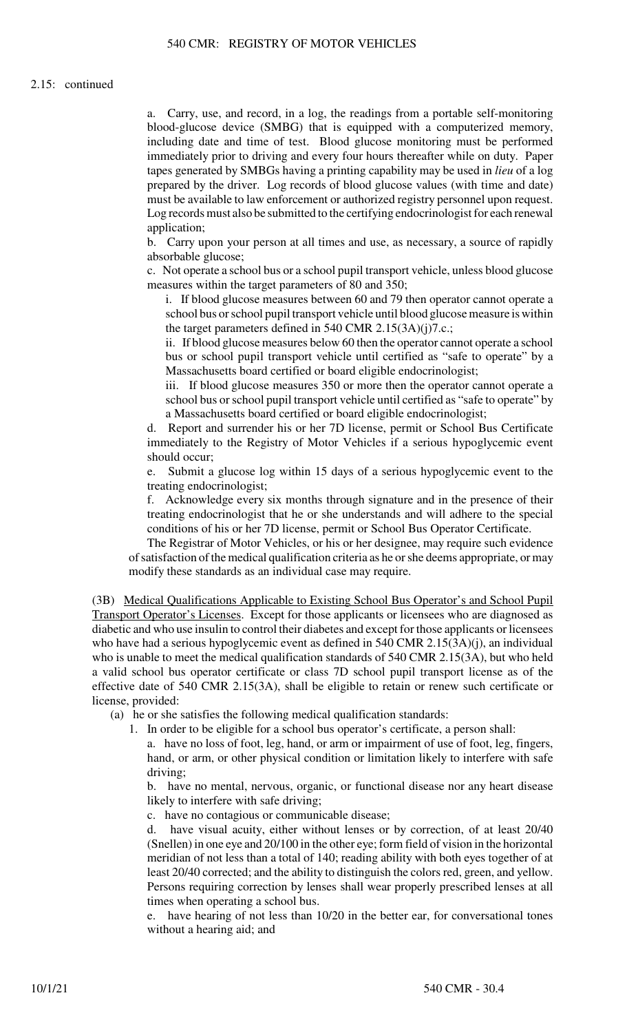a. Carry, use, and record, in a log, the readings from a portable self-monitoring blood-glucose device (SMBG) that is equipped with a computerized memory, including date and time of test. Blood glucose monitoring must be performed immediately prior to driving and every four hours thereafter while on duty. Paper tapes generated by SMBGs having a printing capability may be used in *lieu* of a log prepared by the driver. Log records of blood glucose values (with time and date) must be available to law enforcement or authorized registry personnel upon request. Log records must also be submitted to the certifying endocrinologist for each renewal application;

b. Carry upon your person at all times and use, as necessary, a source of rapidly absorbable glucose;

c. Not operate a school bus or a school pupil transport vehicle, unless blood glucose measures within the target parameters of 80 and 350;

i. If blood glucose measures between 60 and 79 then operator cannot operate a school bus or school pupil transport vehicle until blood glucose measure is within the target parameters defined in 540 CMR 2.15(3A)(j)7.c.;

ii. If blood glucose measures below 60 then the operator cannot operate a school bus or school pupil transport vehicle until certified as "safe to operate" by a Massachusetts board certified or board eligible endocrinologist;

iii. If blood glucose measures 350 or more then the operator cannot operate a school bus or school pupil transport vehicle until certified as "safe to operate" by a Massachusetts board certified or board eligible endocrinologist;

d. Report and surrender his or her 7D license, permit or School Bus Certificate immediately to the Registry of Motor Vehicles if a serious hypoglycemic event should occur;

e. Submit a glucose log within 15 days of a serious hypoglycemic event to the treating endocrinologist;

f. Acknowledge every six months through signature and in the presence of their treating endocrinologist that he or she understands and will adhere to the special conditions of his or her 7D license, permit or School Bus Operator Certificate.

The Registrar of Motor Vehicles, or his or her designee, may require such evidence of satisfaction of the medical qualification criteria as he or she deems appropriate, or may modify these standards as an individual case may require.

(3B) Medical Qualifications Applicable to Existing School Bus Operator's and School Pupil Transport Operator's Licenses. Except for those applicants or licensees who are diagnosed as diabetic and who use insulin to control their diabetes and except for those applicants or licensees who have had a serious hypoglycemic event as defined in 540 CMR 2.15(3A)(j), an individual who is unable to meet the medical qualification standards of 540 CMR 2.15(3A), but who held a valid school bus operator certificate or class 7D school pupil transport license as of the effective date of 540 CMR 2.15(3A), shall be eligible to retain or renew such certificate or license, provided:

(a) he or she satisfies the following medical qualification standards:

1. In order to be eligible for a school bus operator's certificate, a person shall:

a. have no loss of foot, leg, hand, or arm or impairment of use of foot, leg, fingers, hand, or arm, or other physical condition or limitation likely to interfere with safe driving;

b. have no mental, nervous, organic, or functional disease nor any heart disease likely to interfere with safe driving;

c. have no contagious or communicable disease;

d. have visual acuity, either without lenses or by correction, of at least 20/40 (Snellen) in one eye and 20/100 in the other eye; form field of vision in the horizontal meridian of not less than a total of 140; reading ability with both eyes together of at least 20/40 corrected; and the ability to distinguish the colors red, green, and yellow. Persons requiring correction by lenses shall wear properly prescribed lenses at all times when operating a school bus.

e. have hearing of not less than 10/20 in the better ear, for conversational tones without a hearing aid; and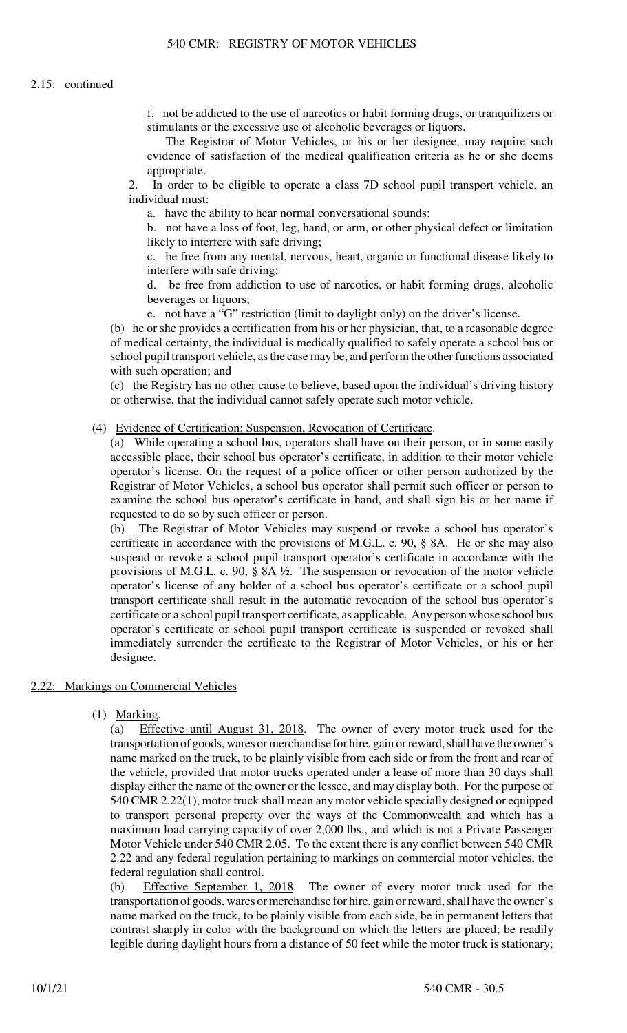f. not be addicted to the use of narcotics or habit forming drugs, or tranquilizers or stimulants or the excessive use of alcoholic beverages or liquors.

The Registrar of Motor Vehicles, or his or her designee, may require such evidence of satisfaction of the medical qualification criteria as he or she deems appropriate.

2. In order to be eligible to operate a class 7D school pupil transport vehicle, an individual must:

a. have the ability to hear normal conversational sounds;

b. not have a loss of foot, leg, hand, or arm, or other physical defect or limitation likely to interfere with safe driving;

c. be free from any mental, nervous, heart, organic or functional disease likely to interfere with safe driving;

d. be free from addiction to use of narcotics, or habit forming drugs, alcoholic beverages or liquors;

e. not have a "G" restriction (limit to daylight only) on the driver's license.

(b) he or she provides a certification from his or her physician, that, to a reasonable degree of medical certainty, the individual is medically qualified to safely operate a school bus or school pupil transport vehicle, as the case may be, and perform the other functions associated with such operation; and

(c) the Registry has no other cause to believe, based upon the individual's driving history or otherwise, that the individual cannot safely operate such motor vehicle.

#### (4) Evidence of Certification; Suspension, Revocation of Certificate.

(a) While operating a school bus, operators shall have on their person, or in some easily accessible place, their school bus operator's certificate, in addition to their motor vehicle operator's license. On the request of a police officer or other person authorized by the Registrar of Motor Vehicles, a school bus operator shall permit such officer or person to examine the school bus operator's certificate in hand, and shall sign his or her name if requested to do so by such officer or person.

(b) The Registrar of Motor Vehicles may suspend or revoke a school bus operator's certificate in accordance with the provisions of M.G.L. c. 90, § 8A. He or she may also suspend or revoke a school pupil transport operator's certificate in accordance with the provisions of M.G.L. c. 90, § 8A ½. The suspension or revocation of the motor vehicle operator's license of any holder of a school bus operator's certificate or a school pupil transport certificate shall result in the automatic revocation of the school bus operator's certificate or a school pupil transport certificate, as applicable. Any person whose school bus operator's certificate or school pupil transport certificate is suspended or revoked shall immediately surrender the certificate to the Registrar of Motor Vehicles, or his or her designee.

#### 2.22: Markings on Commercial Vehicles

(1) Marking.

(a) Effective until August 31, 2018. The owner of every motor truck used for the transportation of goods, wares or merchandise for hire, gain or reward, shall have the owner's name marked on the truck, to be plainly visible from each side or from the front and rear of the vehicle, provided that motor trucks operated under a lease of more than 30 days shall display either the name of the owner or the lessee, and may display both. For the purpose of 540 CMR 2.22(1), motor truck shall mean any motor vehicle specially designed or equipped to transport personal property over the ways of the Commonwealth and which has a maximum load carrying capacity of over 2,000 lbs., and which is not a Private Passenger Motor Vehicle under 540 CMR 2.05. To the extent there is any conflict between 540 CMR 2.22 and any federal regulation pertaining to markings on commercial motor vehicles, the federal regulation shall control.

(b) Effective September 1, 2018. The owner of every motor truck used for the transportation of goods, wares or merchandise for hire, gain or reward, shall have the owner's name marked on the truck, to be plainly visible from each side, be in permanent letters that contrast sharply in color with the background on which the letters are placed; be readily legible during daylight hours from a distance of 50 feet while the motor truck is stationary;